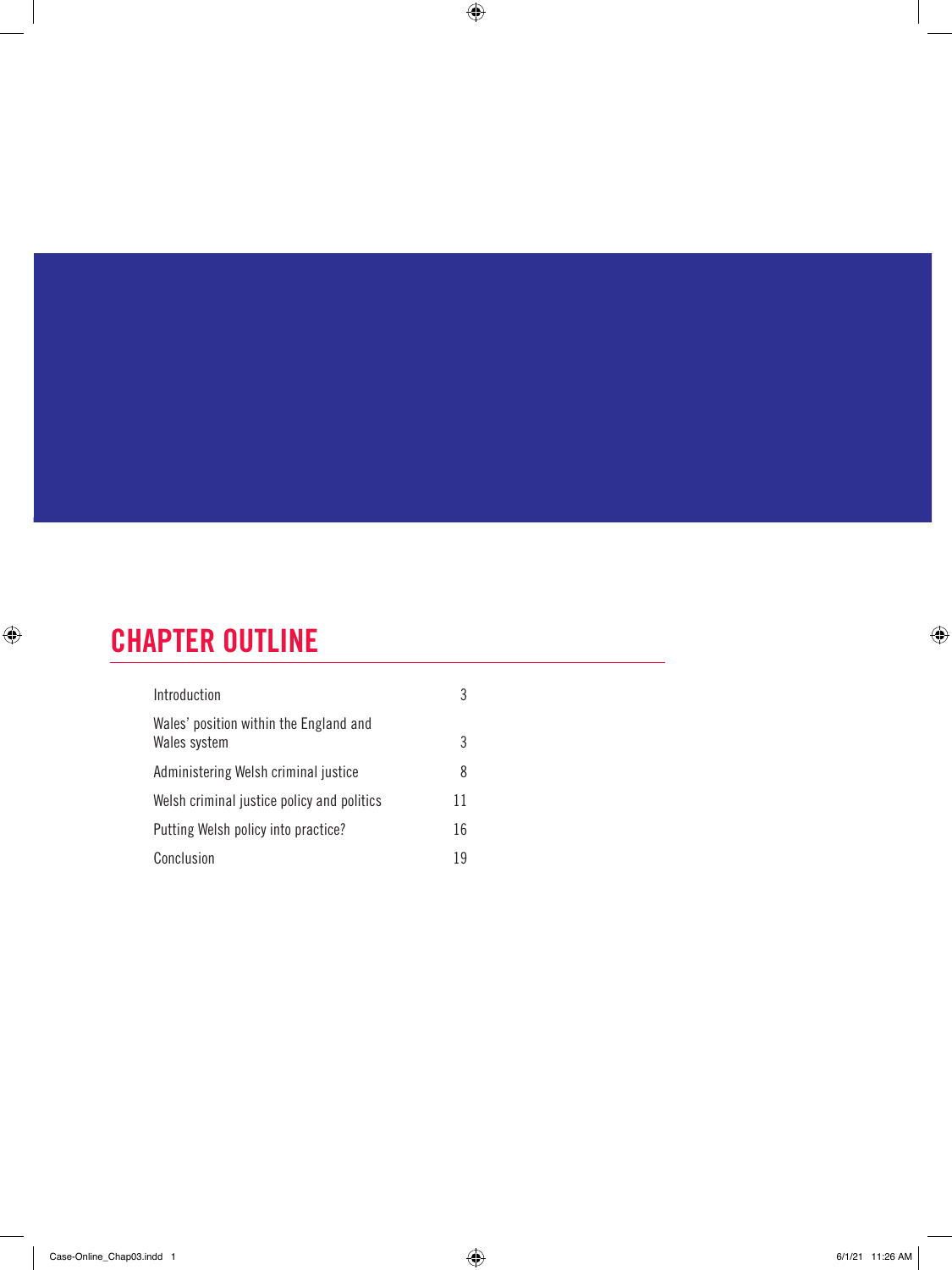# CHAPTER OUTLINE

 $\bigoplus$ 

| Introduction                                           | 3  |  |
|--------------------------------------------------------|----|--|
| Wales' position within the England and<br>Wales system | 3  |  |
| Administering Welsh criminal justice                   | 8  |  |
| Welsh criminal justice policy and politics             | 11 |  |
| Putting Welsh policy into practice?                    | 16 |  |
| Conclusion                                             | 19 |  |

 $\bigoplus$ 

 $\bigoplus$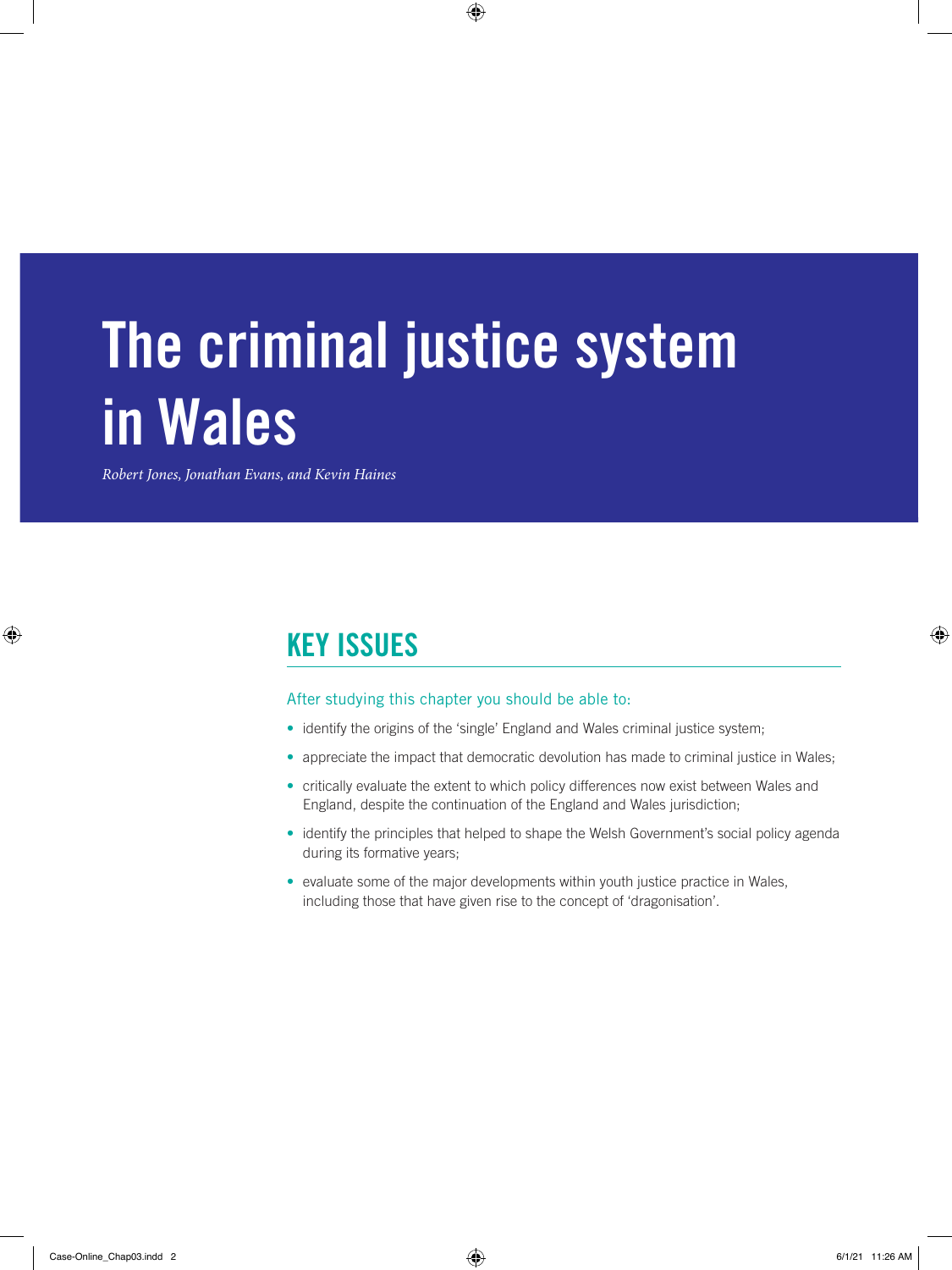# The criminal justice system in Wales

 $\bigoplus$ 

*Robert Jones, Jonathan Evans, and Kevin Haines*

# KEY ISSUES

#### After studying this chapter you should be able to:

- identify the origins of the 'single' England and Wales criminal justice system;
- appreciate the impact that democratic devolution has made to criminal justice in Wales;
- critically evaluate the extent to which policy differences now exist between Wales and England, despite the continuation of the England and Wales jurisdiction;
- identify the principles that helped to shape the Welsh Government's social policy agenda during its formative years;
- evaluate some of the major developments within youth justice practice in Wales, including those that have given rise to the concept of 'dragonisation'.

 $\bigoplus$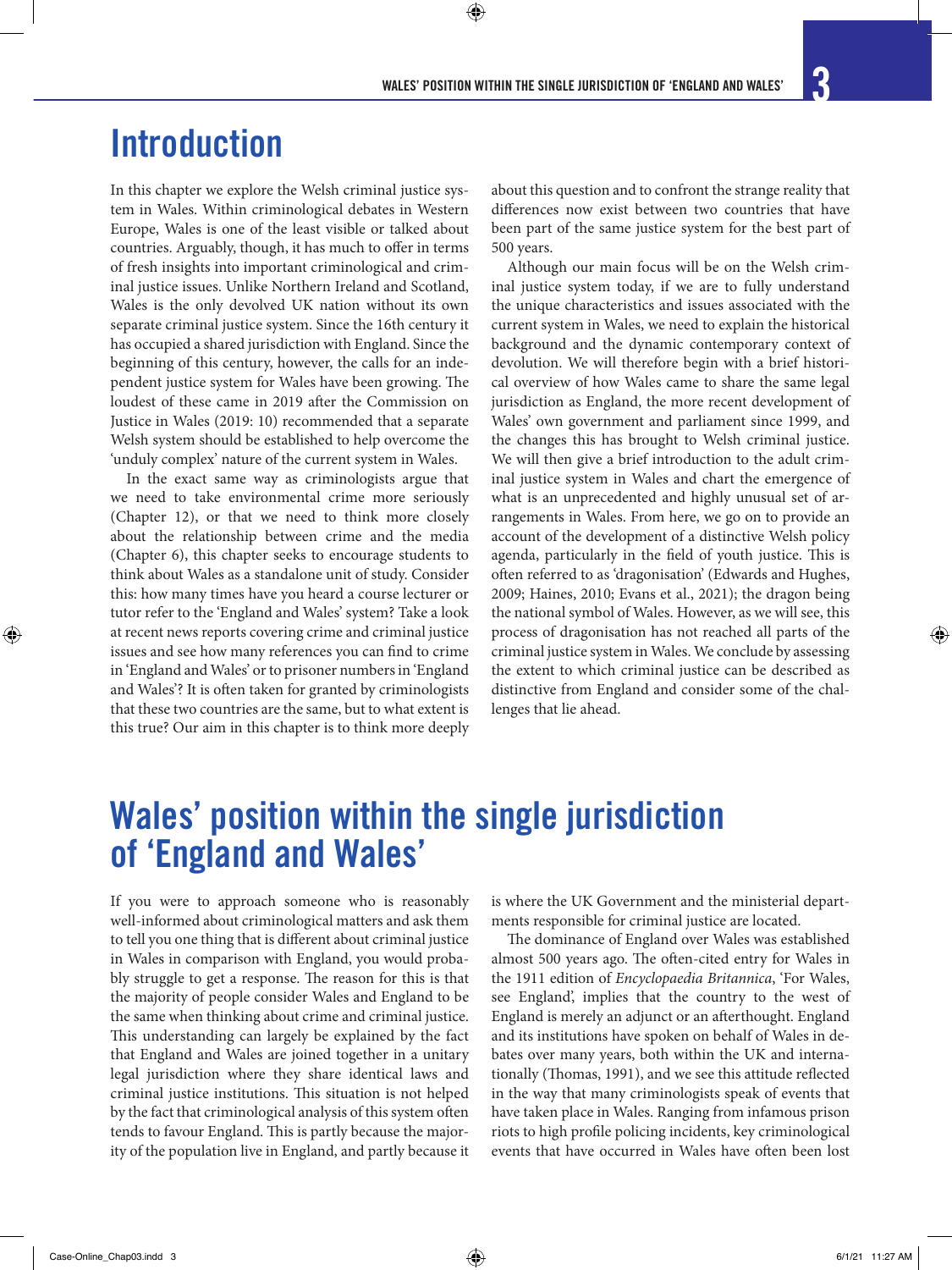In this chapter we explore the Welsh criminal justice system in Wales. Within criminological debates in Western Europe, Wales is one of the least visible or talked about countries. Arguably, though, it has much to offer in terms of fresh insights into important criminological and criminal justice issues. Unlike Northern Ireland and Scotland, Wales is the only devolved UK nation without its own separate criminal justice system. Since the 16th century it has occupied a shared jurisdiction with England. Since the beginning of this century, however, the calls for an independent justice system for Wales have been growing. The loudest of these came in 2019 after the Commission on Justice in Wales (2019: 10) recommended that a separate Welsh system should be established to help overcome the 'unduly complex' nature of the current system in Wales.

In the exact same way as criminologists argue that we need to take environmental crime more seriously (Chapter 12), or that we need to think more closely about the relationship between crime and the media (Chapter 6), this chapter seeks to encourage students to think about Wales as a standalone unit of study. Consider this: how many times have you heard a course lecturer or tutor refer to the 'England and Wales' system? Take a look at recent news reports covering crime and criminal justice issues and see how many references you can find to crime in 'England and Wales' or to prisoner numbers in 'England and Wales'? It is often taken for granted by criminologists that these two countries are the same, but to what extent is this true? Our aim in this chapter is to think more deeply about this question and to confront the strange reality that differences now exist between two countries that have been part of the same justice system for the best part of 500 years.

Although our main focus will be on the Welsh criminal justice system today, if we are to fully understand the unique characteristics and issues associated with the current system in Wales, we need to explain the historical background and the dynamic contemporary context of devolution. We will therefore begin with a brief historical overview of how Wales came to share the same legal jurisdiction as England, the more recent development of Wales' own government and parliament since 1999, and the changes this has brought to Welsh criminal justice. We will then give a brief introduction to the adult criminal justice system in Wales and chart the emergence of what is an unprecedented and highly unusual set of arrangements in Wales. From here, we go on to provide an account of the development of a distinctive Welsh policy agenda, particularly in the field of youth justice. This is often referred to as 'dragonisation' (Edwards and Hughes, 2009; Haines, 2010; Evans et al., 2021); the dragon being the national symbol of Wales. However, as we will see, this process of dragonisation has not reached all parts of the criminal justice system in Wales. We conclude by assessing the extent to which criminal justice can be described as distinctive from England and consider some of the challenges that lie ahead.

# Wales' position within the single jurisdiction of 'England and Wales'

If you were to approach someone who is reasonably well-informed about criminological matters and ask them to tell you one thing that is different about criminal justice in Wales in comparison with England, you would probably struggle to get a response. The reason for this is that the majority of people consider Wales and England to be the same when thinking about crime and criminal justice. This understanding can largely be explained by the fact that England and Wales are joined together in a unitary legal jurisdiction where they share identical laws and criminal justice institutions. This situation is not helped by the fact that criminological analysis of this system often tends to favour England. This is partly because the majority of the population live in England, and partly because it

is where the UK Government and the ministerial departments responsible for criminal justice are located.

The dominance of England over Wales was established almost 500 years ago. The often-cited entry for Wales in the 1911 edition of *Encyclopaedia Britannica*, 'For Wales, see England', implies that the country to the west of England is merely an adjunct or an afterthought. England and its institutions have spoken on behalf of Wales in debates over many years, both within the UK and internationally (Thomas, 1991), and we see this attitude reflected in the way that many criminologists speak of events that have taken place in Wales. Ranging from infamous prison riots to high profile policing incidents, key criminological events that have occurred in Wales have often been lost

 $\bigoplus$ 

↔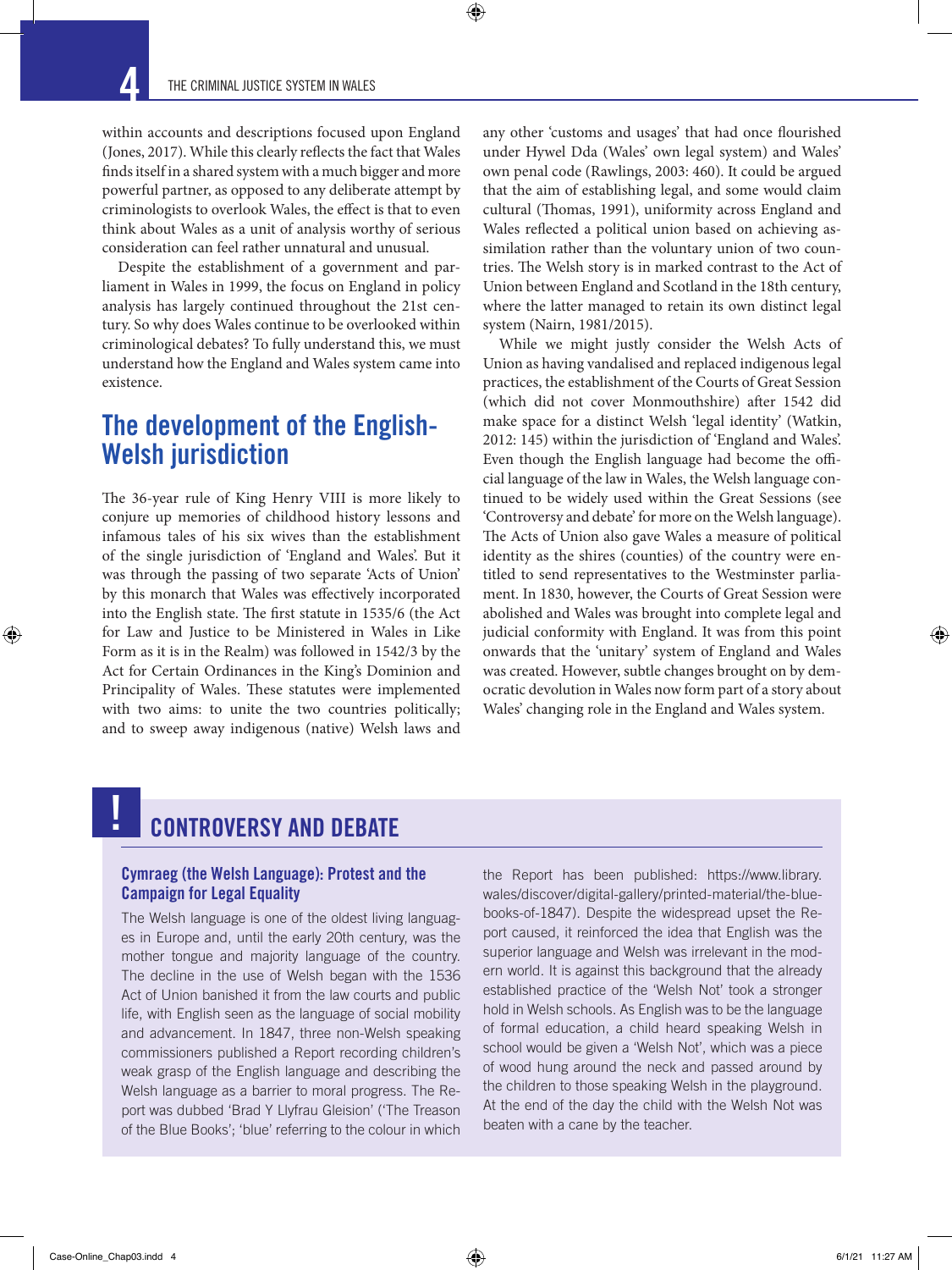

within accounts and descriptions focused upon England (Jones, 2017). While this clearly reflects the fact that Wales finds itself in a shared system with a much bigger and more powerful partner, as opposed to any deliberate attempt by criminologists to overlook Wales, the effect is that to even think about Wales as a unit of analysis worthy of serious consideration can feel rather unnatural and unusual.

Despite the establishment of a government and parliament in Wales in 1999, the focus on England in policy analysis has largely continued throughout the 21st century. So why does Wales continue to be overlooked within criminological debates? To fully understand this, we must understand how the England and Wales system came into existence.

### The development of the English-Welsh jurisdiction

The 36-year rule of King Henry VIII is more likely to conjure up memories of childhood history lessons and infamous tales of his six wives than the establishment of the single jurisdiction of 'England and Wales'. But it was through the passing of two separate 'Acts of Union' by this monarch that Wales was effectively incorporated into the English state. The first statute in 1535/6 (the Act for Law and Justice to be Ministered in Wales in Like Form as it is in the Realm) was followed in 1542/3 by the Act for Certain Ordinances in the King's Dominion and Principality of Wales. These statutes were implemented with two aims: to unite the two countries politically; and to sweep away indigenous (native) Welsh laws and

any other 'customs and usages' that had once flourished under Hywel Dda (Wales' own legal system) and Wales' own penal code (Rawlings, 2003: 460). It could be argued that the aim of establishing legal, and some would claim cultural (Thomas, 1991), uniformity across England and Wales reflected a political union based on achieving assimilation rather than the voluntary union of two countries. The Welsh story is in marked contrast to the Act of Union between England and Scotland in the 18th century, where the latter managed to retain its own distinct legal system (Nairn, 1981/2015).

While we might justly consider the Welsh Acts of Union as having vandalised and replaced indigenous legal practices, the establishment of the Courts of Great Session (which did not cover Monmouthshire) after 1542 did make space for a distinct Welsh 'legal identity' (Watkin, 2012: 145) within the jurisdiction of 'England and Wales'. Even though the English language had become the official language of the law in Wales, the Welsh language continued to be widely used within the Great Sessions (see 'Controversy and debate' for more on the Welsh language). The Acts of Union also gave Wales a measure of political identity as the shires (counties) of the country were entitled to send representatives to the Westminster parliament. In 1830, however, the Courts of Great Session were abolished and Wales was brought into complete legal and judicial conformity with England. It was from this point onwards that the 'unitary' system of England and Wales was created. However, subtle changes brought on by democratic devolution in Wales now form part of a story about Wales' changing role in the England and Wales system.

### CONTROVERSY AND DEBATE

### Cymraeg (the Welsh Language): Protest and the Campaign for Legal Equality

The Welsh language is one of the oldest living languages in Europe and, until the early 20th century, was the mother tongue and majority language of the country. The decline in the use of Welsh began with the 1536 Act of Union banished it from the law courts and public life, with English seen as the language of social mobility and advancement. In 1847, three non-Welsh speaking commissioners published a Report recording children's weak grasp of the English language and describing the Welsh language as a barrier to moral progress. The Report was dubbed 'Brad Y Llyfrau Gleision' ('The Treason of the Blue Books'; 'blue' referring to the colour in which

the Report has been published: https://www.library. wales/discover/digital-gallery/printed-material/the-bluebooks-of-1847). Despite the widespread upset the Report caused, it reinforced the idea that English was the superior language and Welsh was irrelevant in the modern world. It is against this background that the already established practice of the 'Welsh Not' took a stronger hold in Welsh schools. As English was to be the language of formal education, a child heard speaking Welsh in school would be given a 'Welsh Not', which was a piece of wood hung around the neck and passed around by the children to those speaking Welsh in the playground. At the end of the day the child with the Welsh Not was beaten with a cane by the teacher.

!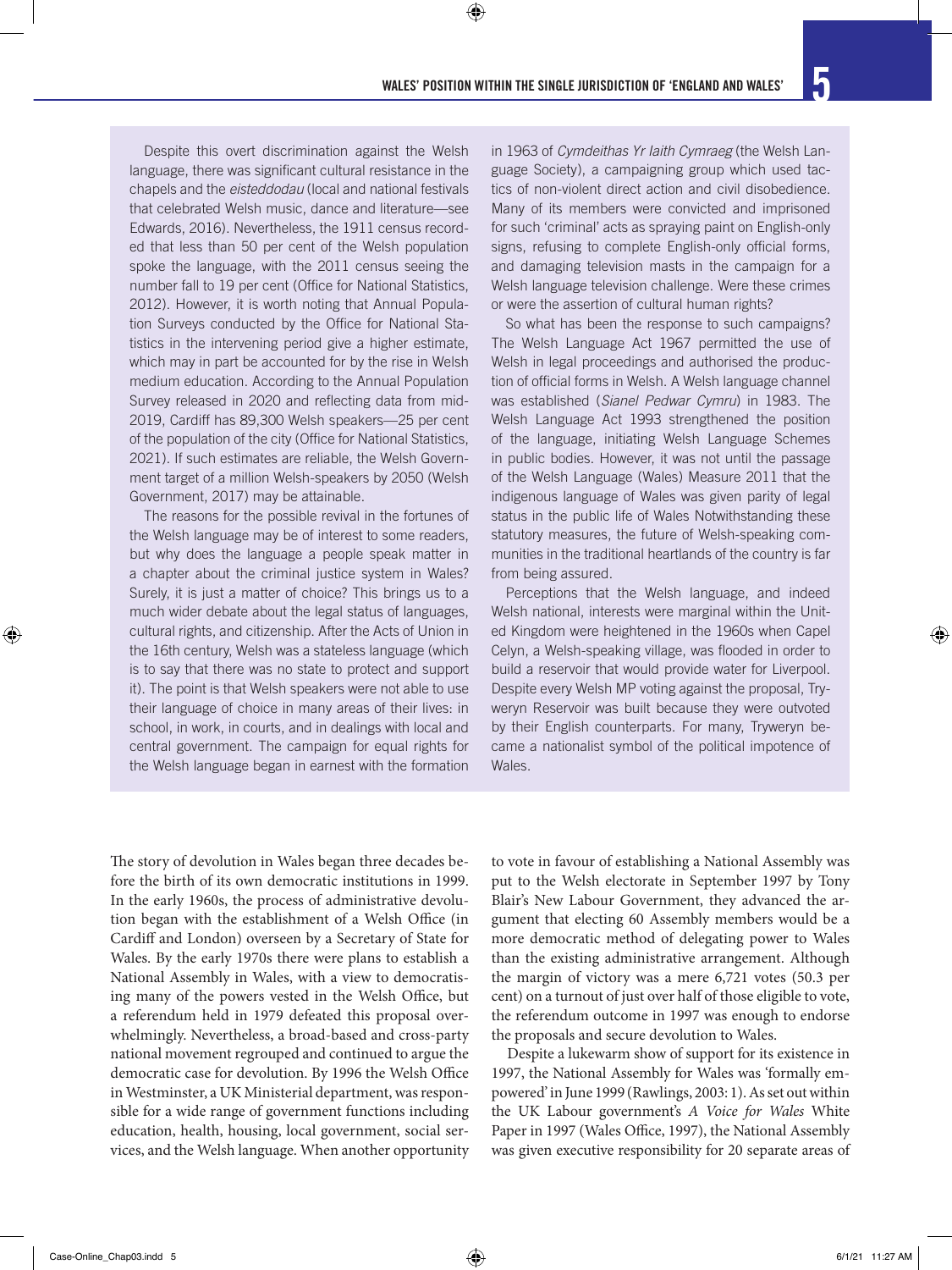Despite this overt discrimination against the Welsh language, there was significant cultural resistance in the chapels and the *eisteddodau* (local and national festivals that celebrated Welsh music, dance and literature—see Edwards, 2016). Nevertheless, the 1911 census recorded that less than 50 per cent of the Welsh population spoke the language, with the 2011 census seeing the number fall to 19 per cent (Office for National Statistics, 2012). However, it is worth noting that Annual Population Surveys conducted by the Office for National Statistics in the intervening period give a higher estimate, which may in part be accounted for by the rise in Welsh medium education. According to the Annual Population Survey released in 2020 and reflecting data from mid-2019, Cardiff has 89,300 Welsh speakers—25 per cent of the population of the city (Office for National Statistics, 2021). If such estimates are reliable, the Welsh Government target of a million Welsh-speakers by 2050 (Welsh Government, 2017) may be attainable.

The reasons for the possible revival in the fortunes of the Welsh language may be of interest to some readers, but why does the language a people speak matter in a chapter about the criminal justice system in Wales? Surely, it is just a matter of choice? This brings us to a much wider debate about the legal status of languages, cultural rights, and citizenship. After the Acts of Union in the 16th century, Welsh was a stateless language (which is to say that there was no state to protect and support it). The point is that Welsh speakers were not able to use their language of choice in many areas of their lives: in school, in work, in courts, and in dealings with local and central government. The campaign for equal rights for the Welsh language began in earnest with the formation

in 1963 of *Cymdeithas Yr Iaith Cymraeg* (the Welsh Language Society), a campaigning group which used tactics of non-violent direct action and civil disobedience. Many of its members were convicted and imprisoned for such 'criminal' acts as spraying paint on English-only signs, refusing to complete English-only official forms, and damaging television masts in the campaign for a Welsh language television challenge. Were these crimes or were the assertion of cultural human rights?

So what has been the response to such campaigns? The Welsh Language Act 1967 permitted the use of Welsh in legal proceedings and authorised the production of official forms in Welsh. A Welsh language channel was established (*Sianel Pedwar Cymru*) in 1983. The Welsh Language Act 1993 strengthened the position of the language, initiating Welsh Language Schemes in public bodies. However, it was not until the passage of the Welsh Language (Wales) Measure 2011 that the indigenous language of Wales was given parity of legal status in the public life of Wales Notwithstanding these statutory measures, the future of Welsh-speaking communities in the traditional heartlands of the country is far from being assured.

Perceptions that the Welsh language, and indeed Welsh national, interests were marginal within the United Kingdom were heightened in the 1960s when Capel Celyn, a Welsh-speaking village, was flooded in order to build a reservoir that would provide water for Liverpool. Despite every Welsh MP voting against the proposal, Tryweryn Reservoir was built because they were outvoted by their English counterparts. For many, Tryweryn became a nationalist symbol of the political impotence of Wales.

The story of devolution in Wales began three decades before the birth of its own democratic institutions in 1999. In the early 1960s, the process of administrative devolution began with the establishment of a Welsh Office (in Cardiff and London) overseen by a Secretary of State for Wales. By the early 1970s there were plans to establish a National Assembly in Wales, with a view to democratising many of the powers vested in the Welsh Office, but a referendum held in 1979 defeated this proposal overwhelmingly. Nevertheless, a broad-based and cross-party national movement regrouped and continued to argue the democratic case for devolution. By 1996 the Welsh Office in Westminster, a UK Ministerial department, was responsible for a wide range of government functions including education, health, housing, local government, social services, and the Welsh language. When another opportunity

to vote in favour of establishing a National Assembly was put to the Welsh electorate in September 1997 by Tony Blair's New Labour Government, they advanced the argument that electing 60 Assembly members would be a more democratic method of delegating power to Wales than the existing administrative arrangement. Although the margin of victory was a mere 6,721 votes (50.3 per cent) on a turnout of just over half of those eligible to vote, the referendum outcome in 1997 was enough to endorse the proposals and secure devolution to Wales.

Despite a lukewarm show of support for its existence in 1997, the National Assembly for Wales was 'formally empowered' in June 1999 (Rawlings, 2003: 1). As set out within the UK Labour government's *A Voice for Wales* White Paper in 1997 (Wales Office, 1997), the National Assembly was given executive responsibility for 20 separate areas of

⊕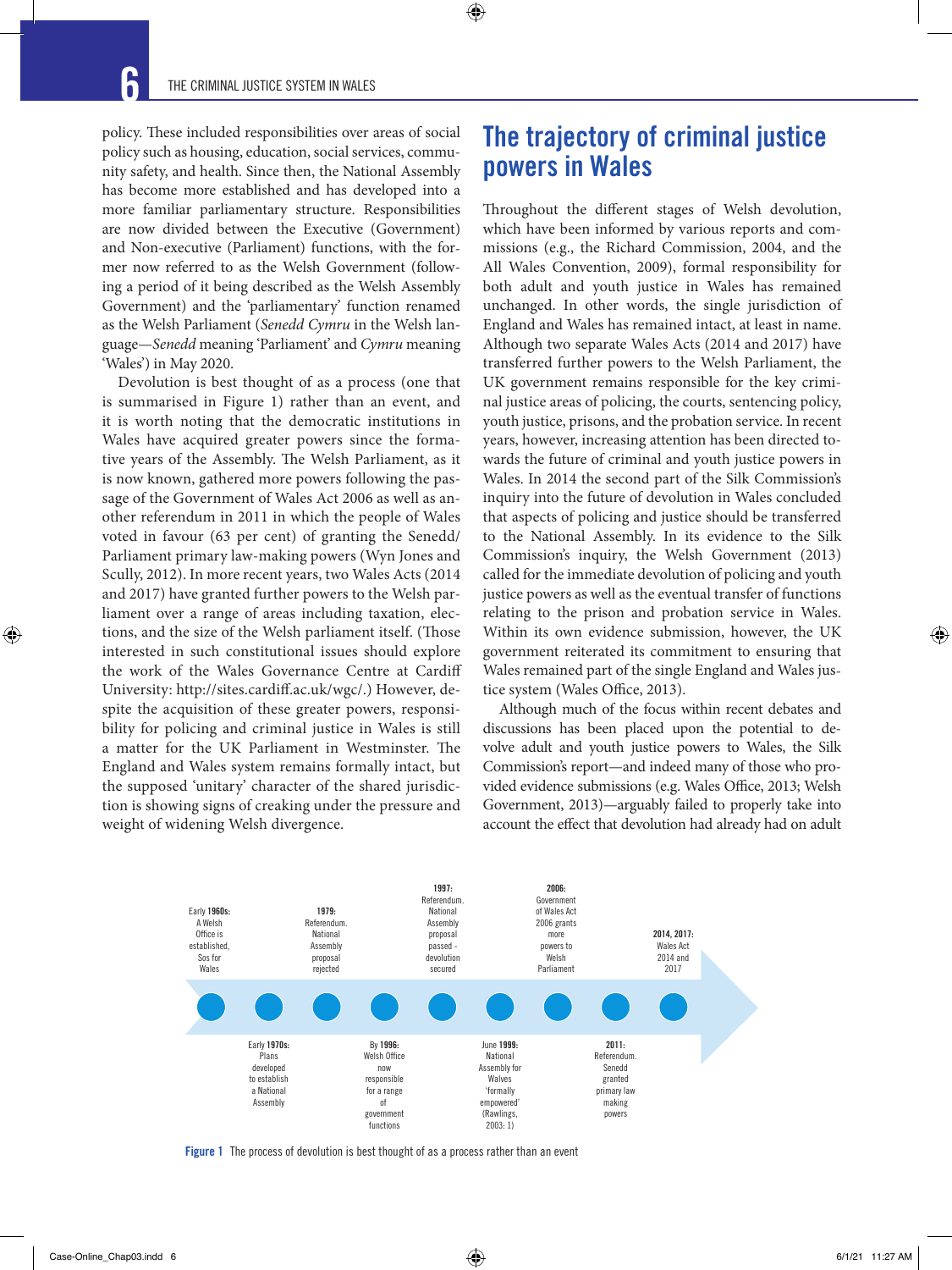policy. These included responsibilities over areas of social policy such as housing, education, social services, community safety, and health. Since then, the National Assembly has become more established and has developed into a more familiar parliamentary structure. Responsibilities are now divided between the Executive (Government) and Non-executive (Parliament) functions, with the former now referred to as the Welsh Government (following a period of it being described as the Welsh Assembly Government) and the 'parliamentary' function renamed as the Welsh Parliament (*Senedd Cymru* in the Welsh language—*Senedd* meaning 'Parliament' and *Cymru* meaning 'Wales') in May 2020.

Devolution is best thought of as a process (one that is summarised in Figure 1) rather than an event, and it is worth noting that the democratic institutions in Wales have acquired greater powers since the formative years of the Assembly. The Welsh Parliament, as it is now known, gathered more powers following the passage of the Government of Wales Act 2006 as well as another referendum in 2011 in which the people of Wales voted in favour (63 per cent) of granting the Senedd/ Parliament primary law-making powers (Wyn Jones and Scully, 2012). In more recent years, two Wales Acts (2014 and 2017) have granted further powers to the Welsh parliament over a range of areas including taxation, elections, and the size of the Welsh parliament itself. (Those interested in such constitutional issues should explore the work of the Wales Governance Centre at Cardiff University: http://sites.cardiff.ac.uk/wgc/.) However, despite the acquisition of these greater powers, responsibility for policing and criminal justice in Wales is still a matter for the UK Parliament in Westminster. The England and Wales system remains formally intact, but the supposed 'unitary' character of the shared jurisdiction is showing signs of creaking under the pressure and weight of widening Welsh divergence.

### The trajectory of criminal justice powers in Wales

Throughout the different stages of Welsh devolution, which have been informed by various reports and commissions (e.g., the Richard Commission, 2004, and the All Wales Convention, 2009), formal responsibility for both adult and youth justice in Wales has remained unchanged. In other words, the single jurisdiction of England and Wales has remained intact, at least in name. Although two separate Wales Acts (2014 and 2017) have transferred further powers to the Welsh Parliament, the UK government remains responsible for the key criminal justice areas of policing, the courts, sentencing policy, youth justice, prisons, and the probation service. In recent years, however, increasing attention has been directed towards the future of criminal and youth justice powers in Wales. In 2014 the second part of the Silk Commission's inquiry into the future of devolution in Wales concluded that aspects of policing and justice should be transferred to the National Assembly. In its evidence to the Silk Commission's inquiry, the Welsh Government (2013) called for the immediate devolution of policing and youth justice powers as well as the eventual transfer of functions relating to the prison and probation service in Wales. Within its own evidence submission, however, the UK government reiterated its commitment to ensuring that Wales remained part of the single England and Wales justice system (Wales Office, 2013).

Although much of the focus within recent debates and discussions has been placed upon the potential to devolve adult and youth justice powers to Wales, the Silk Commission's report—and indeed many of those who provided evidence submissions (e.g. Wales Office, 2013; Welsh Government, 2013)—arguably failed to properly take into account the effect that devolution had already had on adult



 $\bigcirc$ 

Figure 1 The process of devolution is best thought of as a process rather than an event

 $\bigoplus$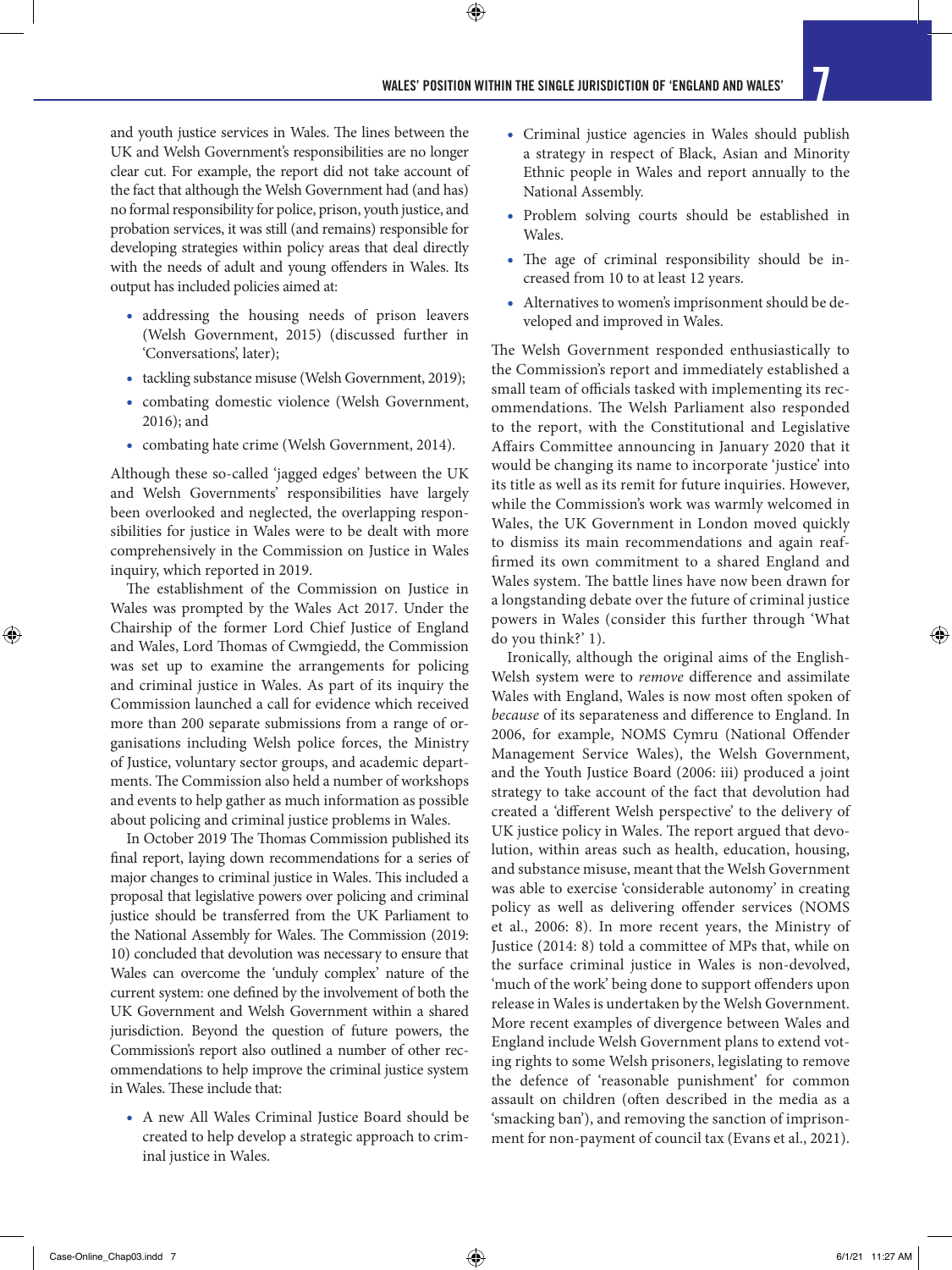$\bigoplus$ 

and youth justice services in Wales. The lines between the UK and Welsh Government's responsibilities are no longer clear cut. For example, the report did not take account of the fact that although the Welsh Government had (and has) no formal responsibility for police, prison, youth justice, and probation services, it was still (and remains) responsible for developing strategies within policy areas that deal directly with the needs of adult and young offenders in Wales. Its output has included policies aimed at:

- addressing the housing needs of prison leavers (Welsh Government, 2015) (discussed further in 'Conversations', later);
- tackling substance misuse (Welsh Government, 2019);
- combating domestic violence (Welsh Government, 2016); and
- combating hate crime (Welsh Government, 2014).

Although these so-called 'jagged edges' between the UK and Welsh Governments' responsibilities have largely been overlooked and neglected, the overlapping responsibilities for justice in Wales were to be dealt with more comprehensively in the Commission on Justice in Wales inquiry, which reported in 2019.

The establishment of the Commission on Justice in Wales was prompted by the Wales Act 2017. Under the Chairship of the former Lord Chief Justice of England and Wales, Lord Thomas of Cwmgiedd, the Commission was set up to examine the arrangements for policing and criminal justice in Wales. As part of its inquiry the Commission launched a call for evidence which received more than 200 separate submissions from a range of organisations including Welsh police forces, the Ministry of Justice, voluntary sector groups, and academic departments. The Commission also held a number of workshops and events to help gather as much information as possible about policing and criminal justice problems in Wales.

In October 2019 The Thomas Commission published its final report, laying down recommendations for a series of major changes to criminal justice in Wales. This included a proposal that legislative powers over policing and criminal justice should be transferred from the UK Parliament to the National Assembly for Wales. The Commission (2019: 10) concluded that devolution was necessary to ensure that Wales can overcome the 'unduly complex' nature of the current system: one defined by the involvement of both the UK Government and Welsh Government within a shared jurisdiction. Beyond the question of future powers, the Commission's report also outlined a number of other recommendations to help improve the criminal justice system in Wales. These include that:

• A new All Wales Criminal Justice Board should be created to help develop a strategic approach to criminal justice in Wales.

- Criminal justice agencies in Wales should publish a strategy in respect of Black, Asian and Minority Ethnic people in Wales and report annually to the National Assembly.
- Problem solving courts should be established in Wales.
- The age of criminal responsibility should be increased from 10 to at least 12 years.
- Alternatives to women's imprisonment should be developed and improved in Wales.

The Welsh Government responded enthusiastically to the Commission's report and immediately established a small team of officials tasked with implementing its recommendations. The Welsh Parliament also responded to the report, with the Constitutional and Legislative Affairs Committee announcing in January 2020 that it would be changing its name to incorporate 'justice' into its title as well as its remit for future inquiries. However, while the Commission's work was warmly welcomed in Wales, the UK Government in London moved quickly to dismiss its main recommendations and again reaffirmed its own commitment to a shared England and Wales system. The battle lines have now been drawn for a longstanding debate over the future of criminal justice powers in Wales (consider this further through 'What do you think?' 1).

Ironically, although the original aims of the English-Welsh system were to *remove* difference and assimilate Wales with England, Wales is now most often spoken of *because* of its separateness and difference to England. In 2006, for example, NOMS Cymru (National Offender Management Service Wales), the Welsh Government, and the Youth Justice Board (2006: iii) produced a joint strategy to take account of the fact that devolution had created a 'different Welsh perspective' to the delivery of UK justice policy in Wales. The report argued that devolution, within areas such as health, education, housing, and substance misuse, meant that the Welsh Government was able to exercise 'considerable autonomy' in creating policy as well as delivering offender services (NOMS et al., 2006: 8). In more recent years, the Ministry of Justice (2014: 8) told a committee of MPs that, while on the surface criminal justice in Wales is non-devolved, 'much of the work' being done to support offenders upon release in Wales is undertaken by the Welsh Government. More recent examples of divergence between Wales and England include Welsh Government plans to extend voting rights to some Welsh prisoners, legislating to remove the defence of 'reasonable punishment' for common assault on children (often described in the media as a 'smacking ban'), and removing the sanction of imprisonment for non-payment of council tax (Evans et al., 2021).

⊕

↔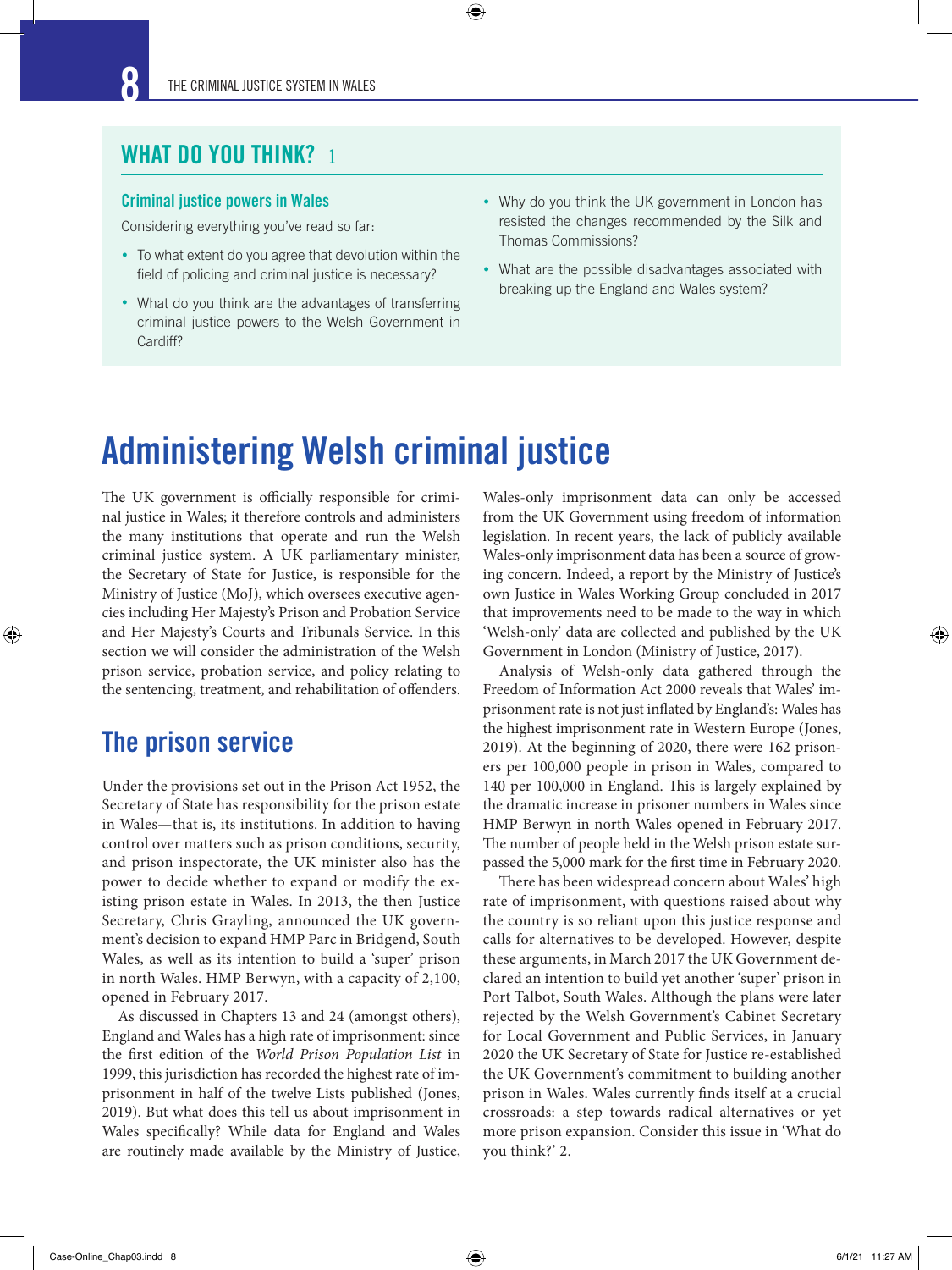### WHAT DO YOU THINK?

### Criminal justice powers in Wales

Considering everything you've read so far:

- To what extent do you agree that devolution within the field of policing and criminal justice is necessary?
- What do you think are the advantages of transferring criminal justice powers to the Welsh Government in Cardiff?
- Why do you think the UK government in London has resisted the changes recommended by the Silk and Thomas Commissions?
- What are the possible disadvantages associated with breaking up the England and Wales system?

# Administering Welsh criminal justice

 $\bm{\Theta}$ 

The UK government is officially responsible for criminal justice in Wales; it therefore controls and administers the many institutions that operate and run the Welsh criminal justice system. A UK parliamentary minister, the Secretary of State for Justice, is responsible for the Ministry of Justice (MoJ), which oversees executive agencies including Her Majesty's Prison and Probation Service and Her Majesty's Courts and Tribunals Service. In this section we will consider the administration of the Welsh prison service, probation service, and policy relating to the sentencing, treatment, and rehabilitation of offenders.

### The prison service

⊕

Under the provisions set out in the Prison Act 1952, the Secretary of State has responsibility for the prison estate in Wales—that is, its institutions. In addition to having control over matters such as prison conditions, security, and prison inspectorate, the UK minister also has the power to decide whether to expand or modify the existing prison estate in Wales. In 2013, the then Justice Secretary, Chris Grayling, announced the UK government's decision to expand HMP Parc in Bridgend, South Wales, as well as its intention to build a 'super' prison in north Wales. HMP Berwyn, with a capacity of 2,100, opened in February 2017.

As discussed in Chapters 13 and 24 (amongst others), England and Wales has a high rate of imprisonment: since the first edition of the *World Prison Population List* in 1999, this jurisdiction has recorded the highest rate of imprisonment in half of the twelve Lists published (Jones, 2019). But what does this tell us about imprisonment in Wales specifically? While data for England and Wales are routinely made available by the Ministry of Justice,

Wales-only imprisonment data can only be accessed from the UK Government using freedom of information legislation. In recent years, the lack of publicly available Wales-only imprisonment data has been a source of growing concern. Indeed, a report by the Ministry of Justice's own Justice in Wales Working Group concluded in 2017 that improvements need to be made to the way in which 'Welsh-only' data are collected and published by the UK Government in London (Ministry of Justice, 2017).

Analysis of Welsh-only data gathered through the Freedom of Information Act 2000 reveals that Wales' imprisonment rate is not just inflated by England's: Wales has the highest imprisonment rate in Western Europe (Jones, 2019). At the beginning of 2020, there were 162 prisoners per 100,000 people in prison in Wales, compared to 140 per 100,000 in England. This is largely explained by the dramatic increase in prisoner numbers in Wales since HMP Berwyn in north Wales opened in February 2017. The number of people held in the Welsh prison estate surpassed the 5,000 mark for the first time in February 2020.

There has been widespread concern about Wales' high rate of imprisonment, with questions raised about why the country is so reliant upon this justice response and calls for alternatives to be developed. However, despite these arguments, in March 2017 the UK Government declared an intention to build yet another 'super' prison in Port Talbot, South Wales. Although the plans were later rejected by the Welsh Government's Cabinet Secretary for Local Government and Public Services, in January 2020 the UK Secretary of State for Justice re-established the UK Government's commitment to building another prison in Wales. Wales currently finds itself at a crucial crossroads: a step towards radical alternatives or yet more prison expansion. Consider this issue in 'What do you think?' 2.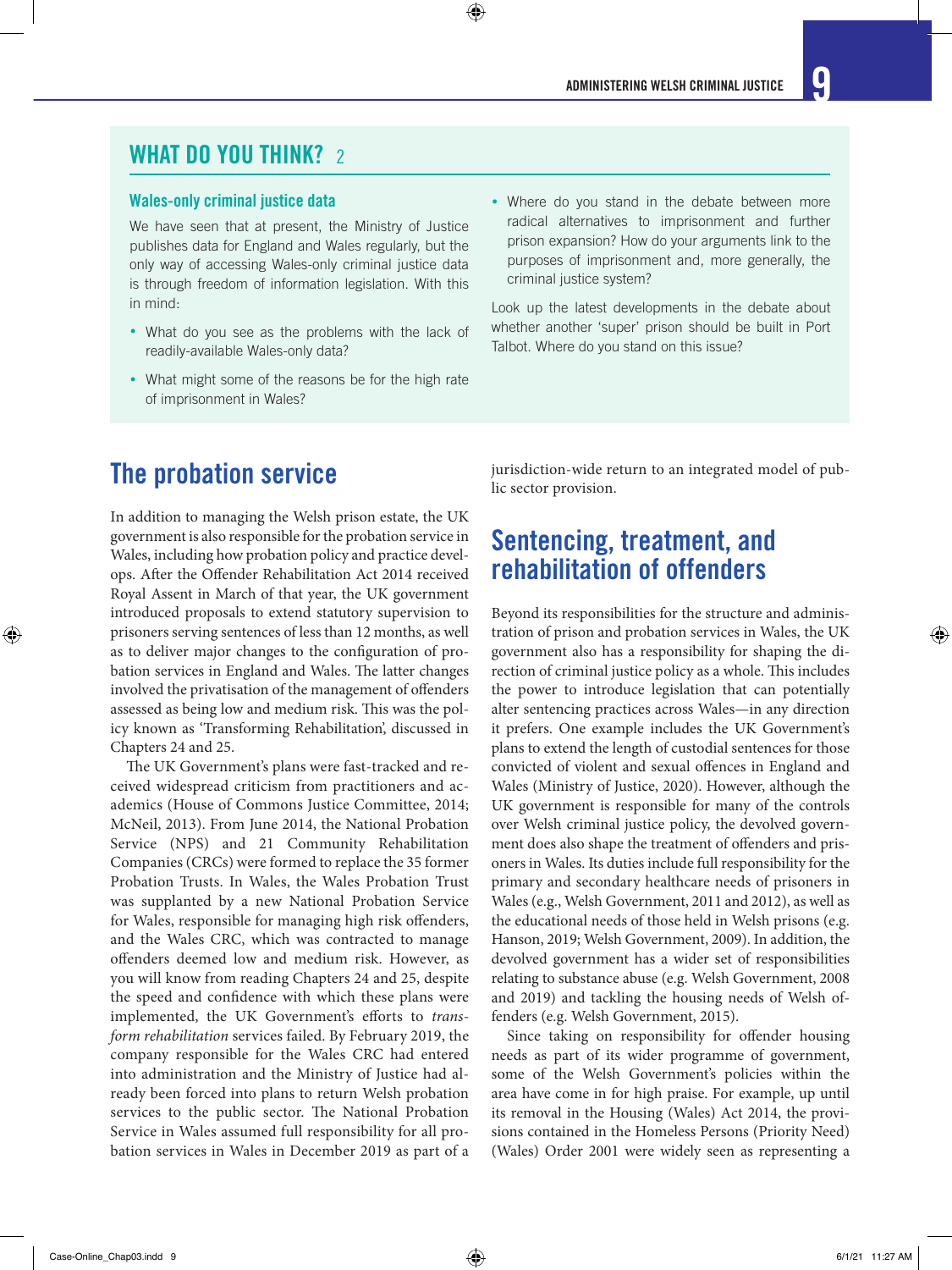### WHAT DO YOU THINK? 2

#### Wales-only criminal justice data

We have seen that at present, the Ministry of Justice publishes data for England and Wales regularly, but the only way of accessing Wales-only criminal justice data is through freedom of information legislation. With this in mind:

- What do you see as the problems with the lack of readily-available Wales-only data?
- What might some of the reasons be for the high rate of imprisonment in Wales?
- Where do you stand in the debate between more radical alternatives to imprisonment and further prison expansion? How do your arguments link to the purposes of imprisonment and, more generally, the criminal justice system?

Look up the latest developments in the debate about whether another 'super' prison should be built in Port Talbot. Where do you stand on this issue?

### The probation service

In addition to managing the Welsh prison estate, the UK government is also responsible for the probation service in Wales, including how probation policy and practice develops. After the Offender Rehabilitation Act 2014 received Royal Assent in March of that year, the UK government introduced proposals to extend statutory supervision to prisoners serving sentences of less than 12 months, as well as to deliver major changes to the configuration of probation services in England and Wales. The latter changes involved the privatisation of the management of offenders assessed as being low and medium risk. This was the policy known as 'Transforming Rehabilitation', discussed in Chapters 24 and 25.

The UK Government's plans were fast-tracked and received widespread criticism from practitioners and academics (House of Commons Justice Committee, 2014; McNeil, 2013). From June 2014, the National Probation Service (NPS) and 21 Community Rehabilitation Companies (CRCs) were formed to replace the 35 former Probation Trusts. In Wales, the Wales Probation Trust was supplanted by a new National Probation Service for Wales, responsible for managing high risk offenders, and the Wales CRC, which was contracted to manage offenders deemed low and medium risk. However, as you will know from reading Chapters 24 and 25, despite the speed and confidence with which these plans were implemented, the UK Government's efforts to *transform rehabilitation* services failed. By February 2019, the company responsible for the Wales CRC had entered into administration and the Ministry of Justice had already been forced into plans to return Welsh probation services to the public sector. The National Probation Service in Wales assumed full responsibility for all probation services in Wales in December 2019 as part of a jurisdiction-wide return to an integrated model of public sector provision.

### Sentencing, treatment, and rehabilitation of offenders

Beyond its responsibilities for the structure and administration of prison and probation services in Wales, the UK government also has a responsibility for shaping the direction of criminal justice policy as a whole. This includes the power to introduce legislation that can potentially alter sentencing practices across Wales—in any direction it prefers. One example includes the UK Government's plans to extend the length of custodial sentences for those convicted of violent and sexual offences in England and Wales (Ministry of Justice, 2020). However, although the UK government is responsible for many of the controls over Welsh criminal justice policy, the devolved government does also shape the treatment of offenders and prisoners in Wales. Its duties include full responsibility for the primary and secondary healthcare needs of prisoners in Wales (e.g., Welsh Government, 2011 and 2012), as well as the educational needs of those held in Welsh prisons (e.g. Hanson, 2019; Welsh Government, 2009). In addition, the devolved government has a wider set of responsibilities relating to substance abuse (e.g. Welsh Government, 2008 and 2019) and tackling the housing needs of Welsh offenders (e.g. Welsh Government, 2015).

Since taking on responsibility for offender housing needs as part of its wider programme of government, some of the Welsh Government's policies within the area have come in for high praise. For example, up until its removal in the Housing (Wales) Act 2014, the provisions contained in the Homeless Persons (Priority Need) (Wales) Order 2001 were widely seen as representing a

⊕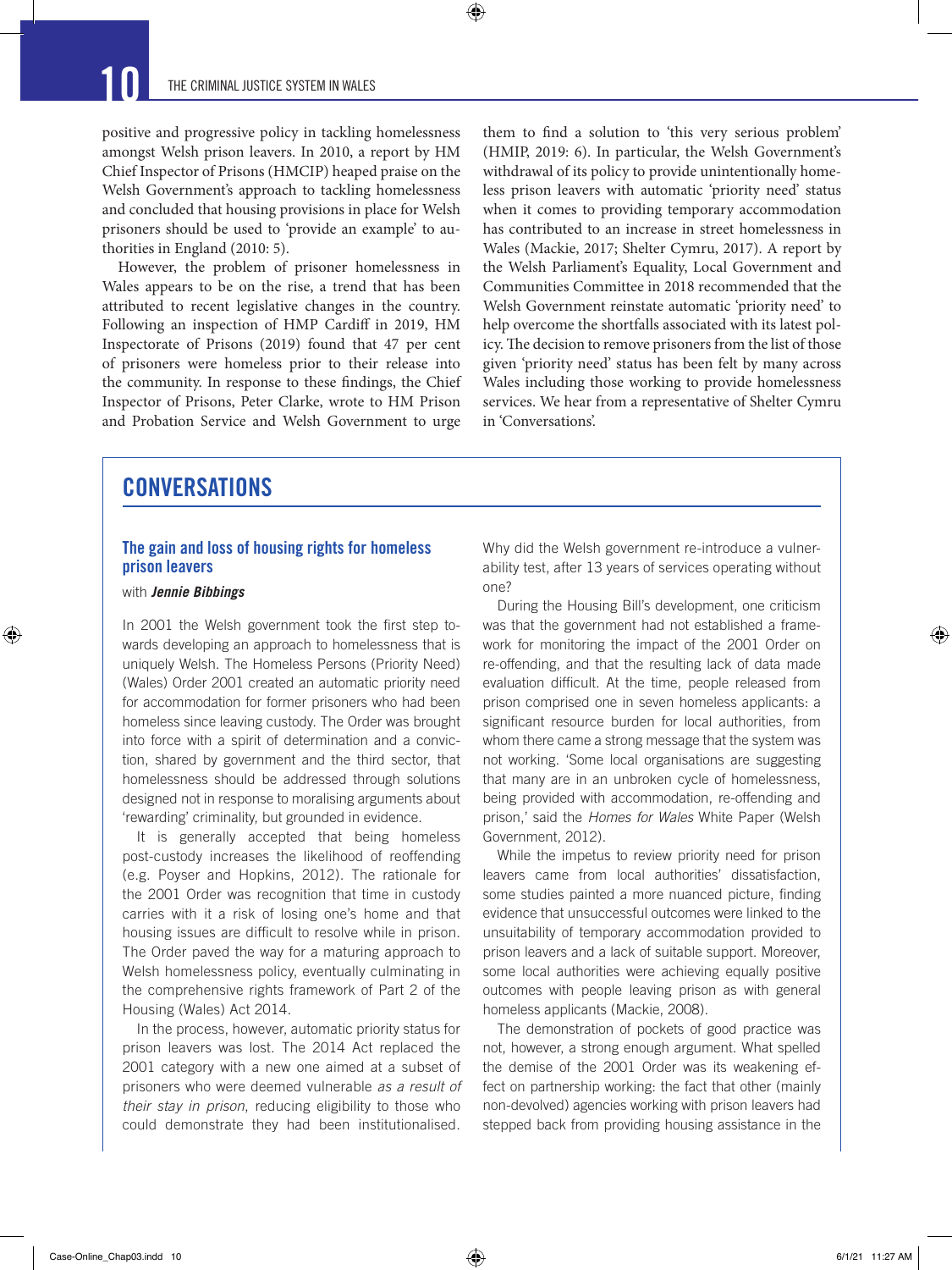positive and progressive policy in tackling homelessness amongst Welsh prison leavers. In 2010, a report by HM Chief Inspector of Prisons (HMCIP) heaped praise on the Welsh Government's approach to tackling homelessness and concluded that housing provisions in place for Welsh prisoners should be used to 'provide an example' to authorities in England (2010: 5).

 $\bm{\Theta}$ 

However, the problem of prisoner homelessness in Wales appears to be on the rise, a trend that has been attributed to recent legislative changes in the country. Following an inspection of HMP Cardiff in 2019, HM Inspectorate of Prisons (2019) found that 47 per cent of prisoners were homeless prior to their release into the community. In response to these findings, the Chief Inspector of Prisons, Peter Clarke, wrote to HM Prison and Probation Service and Welsh Government to urge

them to find a solution to 'this very serious problem' (HMIP, 2019: 6). In particular, the Welsh Government's withdrawal of its policy to provide unintentionally homeless prison leavers with automatic 'priority need' status when it comes to providing temporary accommodation has contributed to an increase in street homelessness in Wales (Mackie, 2017; Shelter Cymru, 2017). A report by the Welsh Parliament's Equality, Local Government and Communities Committee in 2018 recommended that the Welsh Government reinstate automatic 'priority need' to help overcome the shortfalls associated with its latest policy. The decision to remove prisoners from the list of those given 'priority need' status has been felt by many across Wales including those working to provide homelessness services. We hear from a representative of Shelter Cymru in 'Conversations'.

### **CONVERSATIONS**

### The gain and loss of housing rights for homeless prison leavers

#### with *Jennie Bibbings*

⊕

In 2001 the Welsh government took the first step towards developing an approach to homelessness that is uniquely Welsh. The Homeless Persons (Priority Need) (Wales) Order 2001 created an automatic priority need for accommodation for former prisoners who had been homeless since leaving custody. The Order was brought into force with a spirit of determination and a conviction, shared by government and the third sector, that homelessness should be addressed through solutions designed not in response to moralising arguments about 'rewarding' criminality, but grounded in evidence.

It is generally accepted that being homeless post-custody increases the likelihood of reoffending (e.g. Poyser and Hopkins, 2012). The rationale for the 2001 Order was recognition that time in custody carries with it a risk of losing one's home and that housing issues are difficult to resolve while in prison. The Order paved the way for a maturing approach to Welsh homelessness policy, eventually culminating in the comprehensive rights framework of Part 2 of the Housing (Wales) Act 2014.

In the process, however, automatic priority status for prison leavers was lost. The 2014 Act replaced the 2001 category with a new one aimed at a subset of prisoners who were deemed vulnerable *as a result of their stay in prison*, reducing eligibility to those who could demonstrate they had been institutionalised.

Why did the Welsh government re-introduce a vulnerability test, after 13 years of services operating without one?

During the Housing Bill's development, one criticism was that the government had not established a framework for monitoring the impact of the 2001 Order on re-offending, and that the resulting lack of data made evaluation difficult. At the time, people released from prison comprised one in seven homeless applicants: a significant resource burden for local authorities, from whom there came a strong message that the system was not working. 'Some local organisations are suggesting that many are in an unbroken cycle of homelessness, being provided with accommodation, re-offending and prison,' said the *Homes for Wales* White Paper (Welsh Government, 2012).

While the impetus to review priority need for prison leavers came from local authorities' dissatisfaction, some studies painted a more nuanced picture, finding evidence that unsuccessful outcomes were linked to the unsuitability of temporary accommodation provided to prison leavers and a lack of suitable support. Moreover, some local authorities were achieving equally positive outcomes with people leaving prison as with general homeless applicants (Mackie, 2008).

The demonstration of pockets of good practice was not, however, a strong enough argument. What spelled the demise of the 2001 Order was its weakening effect on partnership working: the fact that other (mainly non-devolved) agencies working with prison leavers had stepped back from providing housing assistance in the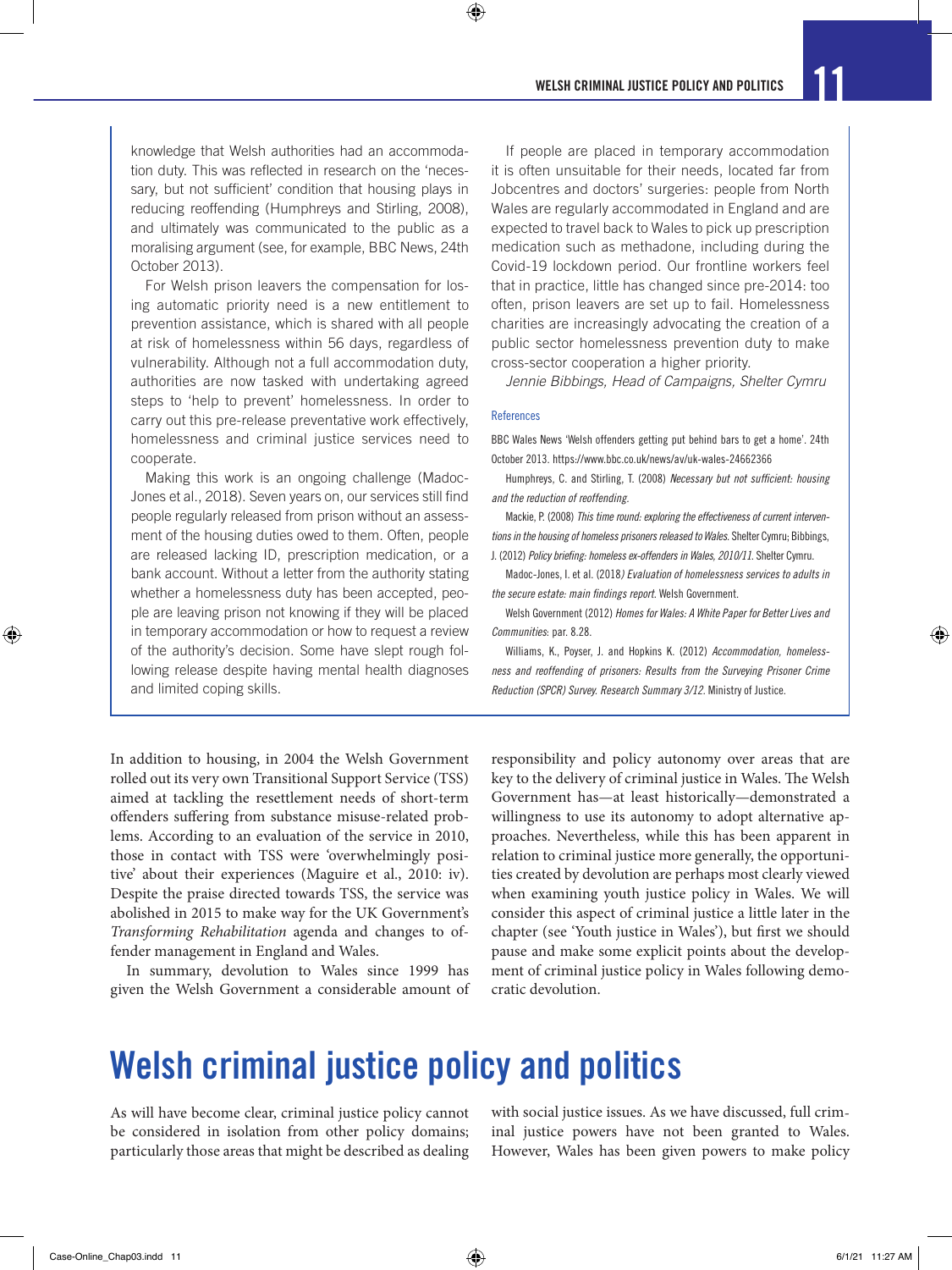knowledge that Welsh authorities had an accommodation duty. This was reflected in research on the 'necessary, but not sufficient' condition that housing plays in reducing reoffending (Humphreys and Stirling, 2008), and ultimately was communicated to the public as a moralising argument (see, for example, BBC News, 24th October 2013).

For Welsh prison leavers the compensation for losing automatic priority need is a new entitlement to prevention assistance, which is shared with all people at risk of homelessness within 56 days, regardless of vulnerability. Although not a full accommodation duty, authorities are now tasked with undertaking agreed steps to 'help to prevent' homelessness. In order to carry out this pre-release preventative work effectively, homelessness and criminal justice services need to cooperate.

Making this work is an ongoing challenge (Madoc-Jones et al., 2018). Seven years on, our services still find people regularly released from prison without an assessment of the housing duties owed to them. Often, people are released lacking ID, prescription medication, or a bank account. Without a letter from the authority stating whether a homelessness duty has been accepted, people are leaving prison not knowing if they will be placed in temporary accommodation or how to request a review of the authority's decision. Some have slept rough following release despite having mental health diagnoses and limited coping skills.

If people are placed in temporary accommodation it is often unsuitable for their needs, located far from Jobcentres and doctors' surgeries: people from North Wales are regularly accommodated in England and are expected to travel back to Wales to pick up prescription medication such as methadone, including during the Covid-19 lockdown period. Our frontline workers feel that in practice, little has changed since pre-2014: too often, prison leavers are set up to fail. Homelessness charities are increasingly advocating the creation of a public sector homelessness prevention duty to make cross-sector cooperation a higher priority.

*Jennie Bibbings, Head of Campaigns, Shelter Cymru*

#### References

 $\bigcirc$ 

BBC Wales News 'Welsh offenders getting put behind bars to get a home'. 24th October 2013. https://www.bbc.co.uk/news/av/uk-wales-24662366

Humphreys, C. and Stirling, T. (2008) *Necessary but not sufficient: housing and the reduction of reoffending.*

Mackie, P. (2008) *This time round: exploring the effectiveness of current interventions in the housing of homeless prisoners released to Wales*. Shelter Cymru; Bibbings, J. (2012) *Policy briefing: homeless ex-offenders in Wales, 2010/11*. Shelter Cymru.

Madoc-Jones, I. et al. (2018*) Evaluation of homelessness services to adults in the secure estate: main findings report*. Welsh Government.

Welsh Government (2012) *Homes for Wales: A White Paper for Better Lives and Communities*: par. 8.28.

Williams, K., Poyser, J. and Hopkins K. (2012) *Accommodation, homelessness and reoffending of prisoners: Results from the Surveying Prisoner Crime Reduction (SPCR) Survey. Research Summary 3/12.* Ministry of Justice.

In addition to housing, in 2004 the Welsh Government rolled out its very own Transitional Support Service (TSS) aimed at tackling the resettlement needs of short-term offenders suffering from substance misuse-related problems. According to an evaluation of the service in 2010, those in contact with TSS were 'overwhelmingly positive' about their experiences (Maguire et al., 2010: iv). Despite the praise directed towards TSS, the service was abolished in 2015 to make way for the UK Government's *Transforming Rehabilitation* agenda and changes to offender management in England and Wales.

In summary, devolution to Wales since 1999 has given the Welsh Government a considerable amount of responsibility and policy autonomy over areas that are key to the delivery of criminal justice in Wales. The Welsh Government has—at least historically—demonstrated a willingness to use its autonomy to adopt alternative approaches. Nevertheless, while this has been apparent in relation to criminal justice more generally, the opportunities created by devolution are perhaps most clearly viewed when examining youth justice policy in Wales. We will consider this aspect of criminal justice a little later in the chapter (see 'Youth justice in Wales'), but first we should pause and make some explicit points about the development of criminal justice policy in Wales following democratic devolution.

# Welsh criminal justice policy and politics

As will have become clear, criminal justice policy cannot be considered in isolation from other policy domains; particularly those areas that might be described as dealing

with social justice issues. As we have discussed, full criminal justice powers have not been granted to Wales. However, Wales has been given powers to make policy

⊕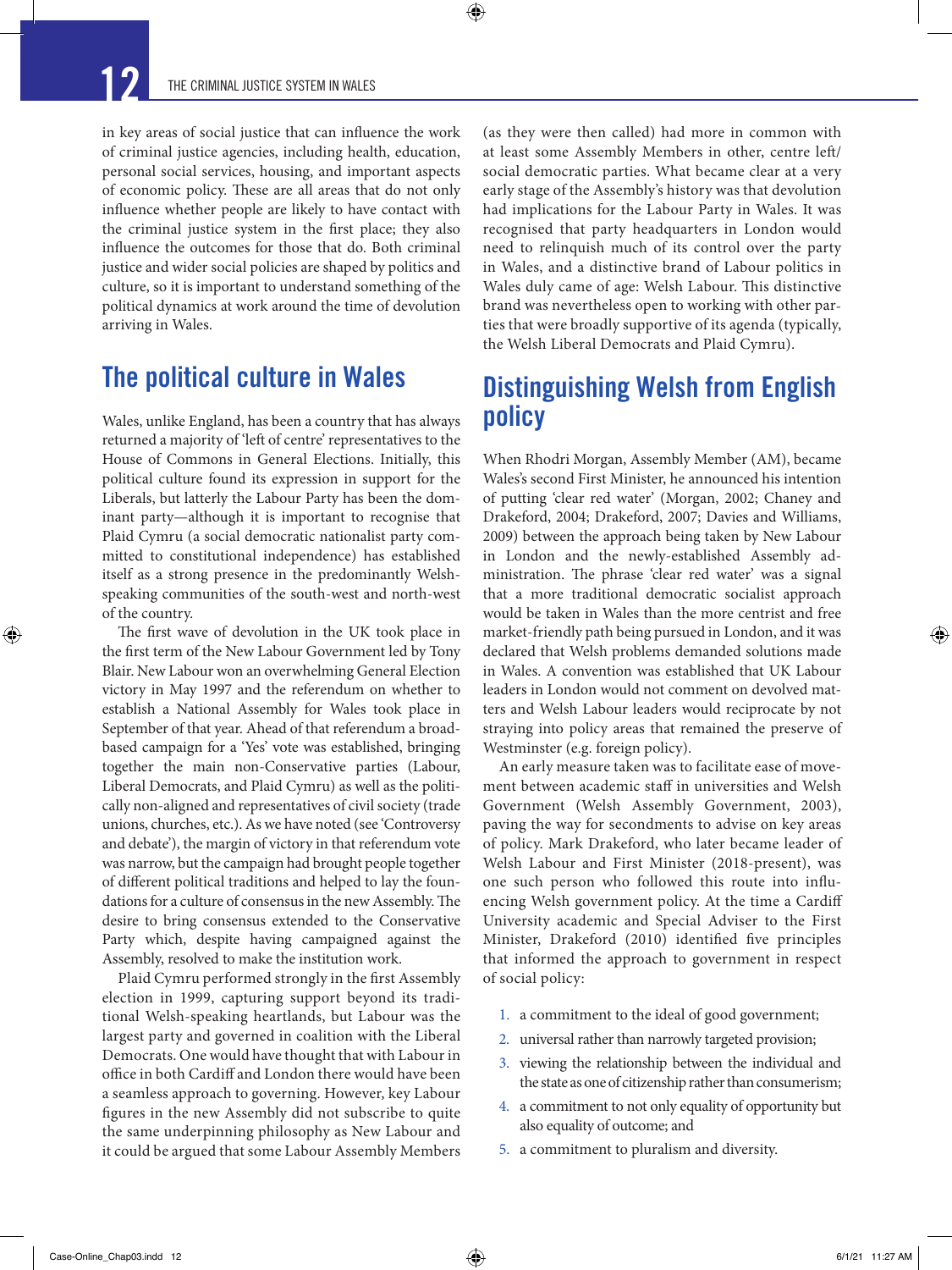⊕

 $\bm{\Theta}$ 

in key areas of social justice that can influence the work of criminal justice agencies, including health, education, personal social services, housing, and important aspects of economic policy. These are all areas that do not only influence whether people are likely to have contact with the criminal justice system in the first place; they also influence the outcomes for those that do. Both criminal justice and wider social policies are shaped by politics and culture, so it is important to understand something of the political dynamics at work around the time of devolution arriving in Wales.

### The political culture in Wales

Wales, unlike England, has been a country that has always returned a majority of 'left of centre' representatives to the House of Commons in General Elections. Initially, this political culture found its expression in support for the Liberals, but latterly the Labour Party has been the dominant party—although it is important to recognise that Plaid Cymru (a social democratic nationalist party committed to constitutional independence) has established itself as a strong presence in the predominantly Welshspeaking communities of the south-west and north-west of the country.

The first wave of devolution in the UK took place in the first term of the New Labour Government led by Tony Blair. New Labour won an overwhelming General Election victory in May 1997 and the referendum on whether to establish a National Assembly for Wales took place in September of that year. Ahead of that referendum a broadbased campaign for a 'Yes' vote was established, bringing together the main non-Conservative parties (Labour, Liberal Democrats, and Plaid Cymru) as well as the politically non-aligned and representatives of civil society (trade unions, churches, etc.). As we have noted (see 'Controversy and debate'), the margin of victory in that referendum vote was narrow, but the campaign had brought people together of different political traditions and helped to lay the foundations for a culture of consensus in the new Assembly. The desire to bring consensus extended to the Conservative Party which, despite having campaigned against the Assembly, resolved to make the institution work.

Plaid Cymru performed strongly in the first Assembly election in 1999, capturing support beyond its traditional Welsh-speaking heartlands, but Labour was the largest party and governed in coalition with the Liberal Democrats. One would have thought that with Labour in office in both Cardiff and London there would have been a seamless approach to governing. However, key Labour figures in the new Assembly did not subscribe to quite the same underpinning philosophy as New Labour and it could be argued that some Labour Assembly Members

(as they were then called) had more in common with at least some Assembly Members in other, centre left/ social democratic parties. What became clear at a very early stage of the Assembly's history was that devolution had implications for the Labour Party in Wales. It was recognised that party headquarters in London would need to relinquish much of its control over the party in Wales, and a distinctive brand of Labour politics in Wales duly came of age: Welsh Labour. This distinctive brand was nevertheless open to working with other parties that were broadly supportive of its agenda (typically, the Welsh Liberal Democrats and Plaid Cymru).

### Distinguishing Welsh from English policy

When Rhodri Morgan, Assembly Member (AM), became Wales's second First Minister, he announced his intention of putting 'clear red water' (Morgan, 2002; Chaney and Drakeford, 2004; Drakeford, 2007; Davies and Williams, 2009) between the approach being taken by New Labour in London and the newly-established Assembly administration. The phrase 'clear red water' was a signal that a more traditional democratic socialist approach would be taken in Wales than the more centrist and free market-friendly path being pursued in London, and it was declared that Welsh problems demanded solutions made in Wales. A convention was established that UK Labour leaders in London would not comment on devolved matters and Welsh Labour leaders would reciprocate by not straying into policy areas that remained the preserve of Westminster (e.g. foreign policy).

An early measure taken was to facilitate ease of movement between academic staff in universities and Welsh Government (Welsh Assembly Government, 2003), paving the way for secondments to advise on key areas of policy. Mark Drakeford, who later became leader of Welsh Labour and First Minister (2018-present), was one such person who followed this route into influencing Welsh government policy. At the time a Cardiff University academic and Special Adviser to the First Minister, Drakeford (2010) identified five principles that informed the approach to government in respect of social policy:

- 1. a commitment to the ideal of good government;
- 2. universal rather than narrowly targeted provision;
- 3. viewing the relationship between the individual and the state as one of citizenship rather than consumerism;
- 4. a commitment to not only equality of opportunity but also equality of outcome; and
- 5. a commitment to pluralism and diversity.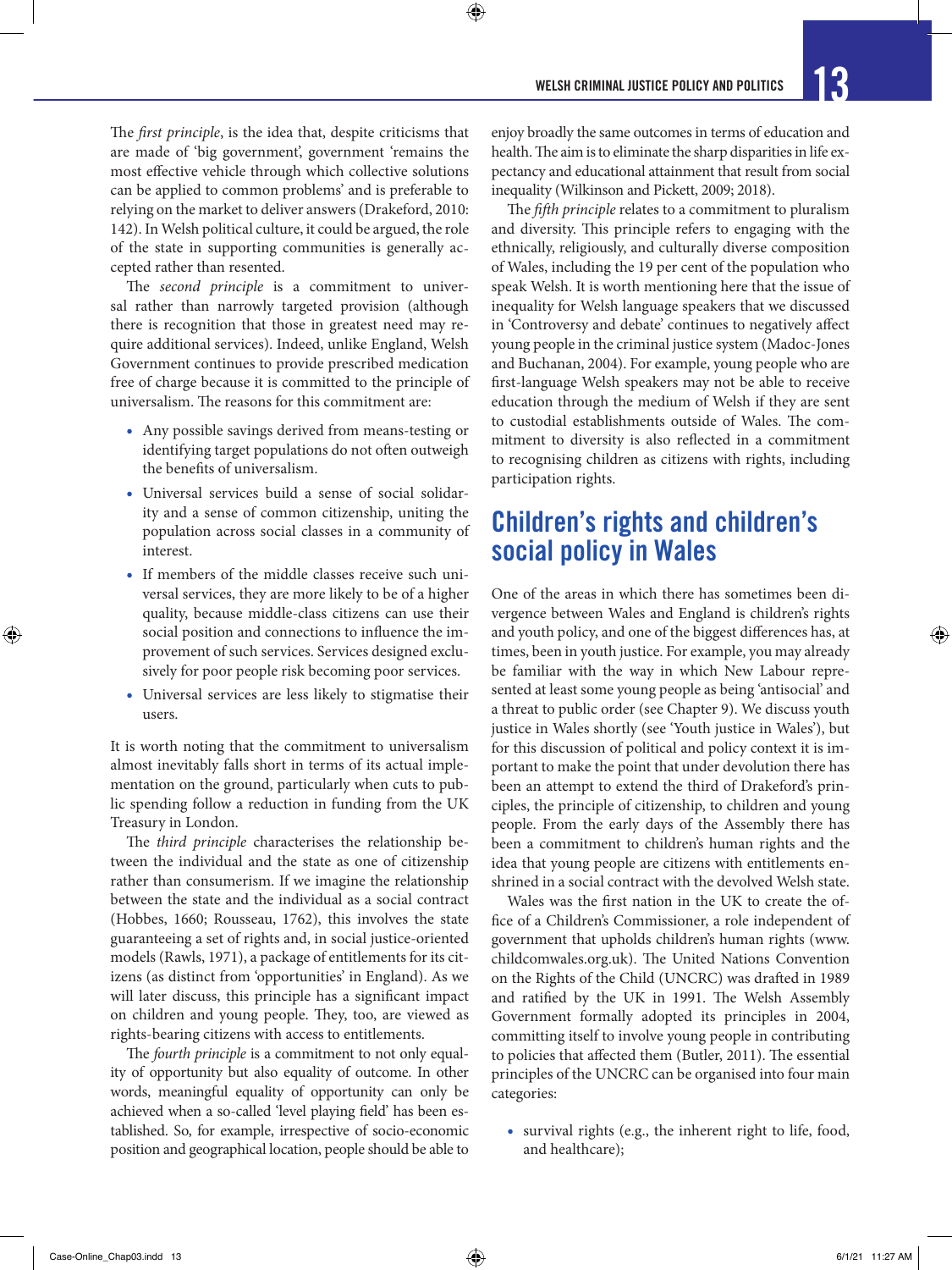⊕

The *first principle*, is the idea that, despite criticisms that are made of 'big government', government 'remains the most effective vehicle through which collective solutions can be applied to common problems' and is preferable to relying on the market to deliver answers (Drakeford, 2010: 142). In Welsh political culture, it could be argued, the role of the state in supporting communities is generally accepted rather than resented.

The *second principle* is a commitment to universal rather than narrowly targeted provision (although there is recognition that those in greatest need may require additional services). Indeed, unlike England, Welsh Government continues to provide prescribed medication free of charge because it is committed to the principle of universalism. The reasons for this commitment are:

- Any possible savings derived from means-testing or identifying target populations do not often outweigh the benefits of universalism.
- Universal services build a sense of social solidarity and a sense of common citizenship, uniting the population across social classes in a community of interest.
- If members of the middle classes receive such universal services, they are more likely to be of a higher quality, because middle-class citizens can use their social position and connections to influence the improvement of such services. Services designed exclusively for poor people risk becoming poor services.
- Universal services are less likely to stigmatise their users.

It is worth noting that the commitment to universalism almost inevitably falls short in terms of its actual implementation on the ground, particularly when cuts to public spending follow a reduction in funding from the UK Treasury in London.

The *third principle* characterises the relationship between the individual and the state as one of citizenship rather than consumerism. If we imagine the relationship between the state and the individual as a social contract (Hobbes, 1660; Rousseau, 1762), this involves the state guaranteeing a set of rights and, in social justice-oriented models (Rawls, 1971), a package of entitlements for its citizens (as distinct from 'opportunities' in England). As we will later discuss, this principle has a significant impact on children and young people. They, too, are viewed as rights-bearing citizens with access to entitlements.

The *fourth principle* is a commitment to not only equality of opportunity but also equality of outcome. In other words, meaningful equality of opportunity can only be achieved when a so-called 'level playing field' has been established. So, for example, irrespective of socio-economic position and geographical location, people should be able to

enjoy broadly the same outcomes in terms of education and health. The aim is to eliminate the sharp disparities in life expectancy and educational attainment that result from social inequality (Wilkinson and Pickett, 2009; 2018).

The *fifth principle* relates to a commitment to pluralism and diversity. This principle refers to engaging with the ethnically, religiously, and culturally diverse composition of Wales, including the 19 per cent of the population who speak Welsh. It is worth mentioning here that the issue of inequality for Welsh language speakers that we discussed in 'Controversy and debate' continues to negatively affect young people in the criminal justice system (Madoc-Jones and Buchanan, 2004). For example, young people who are first-language Welsh speakers may not be able to receive education through the medium of Welsh if they are sent to custodial establishments outside of Wales. The commitment to diversity is also reflected in a commitment to recognising children as citizens with rights, including participation rights.

### Children's rights and children's social policy in Wales

One of the areas in which there has sometimes been divergence between Wales and England is children's rights and youth policy, and one of the biggest differences has, at times, been in youth justice. For example, you may already be familiar with the way in which New Labour represented at least some young people as being 'antisocial' and a threat to public order (see Chapter 9). We discuss youth justice in Wales shortly (see 'Youth justice in Wales'), but for this discussion of political and policy context it is important to make the point that under devolution there has been an attempt to extend the third of Drakeford's principles, the principle of citizenship, to children and young people. From the early days of the Assembly there has been a commitment to children's human rights and the idea that young people are citizens with entitlements enshrined in a social contract with the devolved Welsh state.

Wales was the first nation in the UK to create the office of a Children's Commissioner, a role independent of government that upholds children's human rights (www. childcomwales.org.uk). The United Nations Convention on the Rights of the Child (UNCRC) was drafted in 1989 and ratified by the UK in 1991. The Welsh Assembly Government formally adopted its principles in 2004, committing itself to involve young people in contributing to policies that affected them (Butler, 2011). The essential principles of the UNCRC can be organised into four main categories:

• survival rights (e.g., the inherent right to life, food, and healthcare);

⊕

↔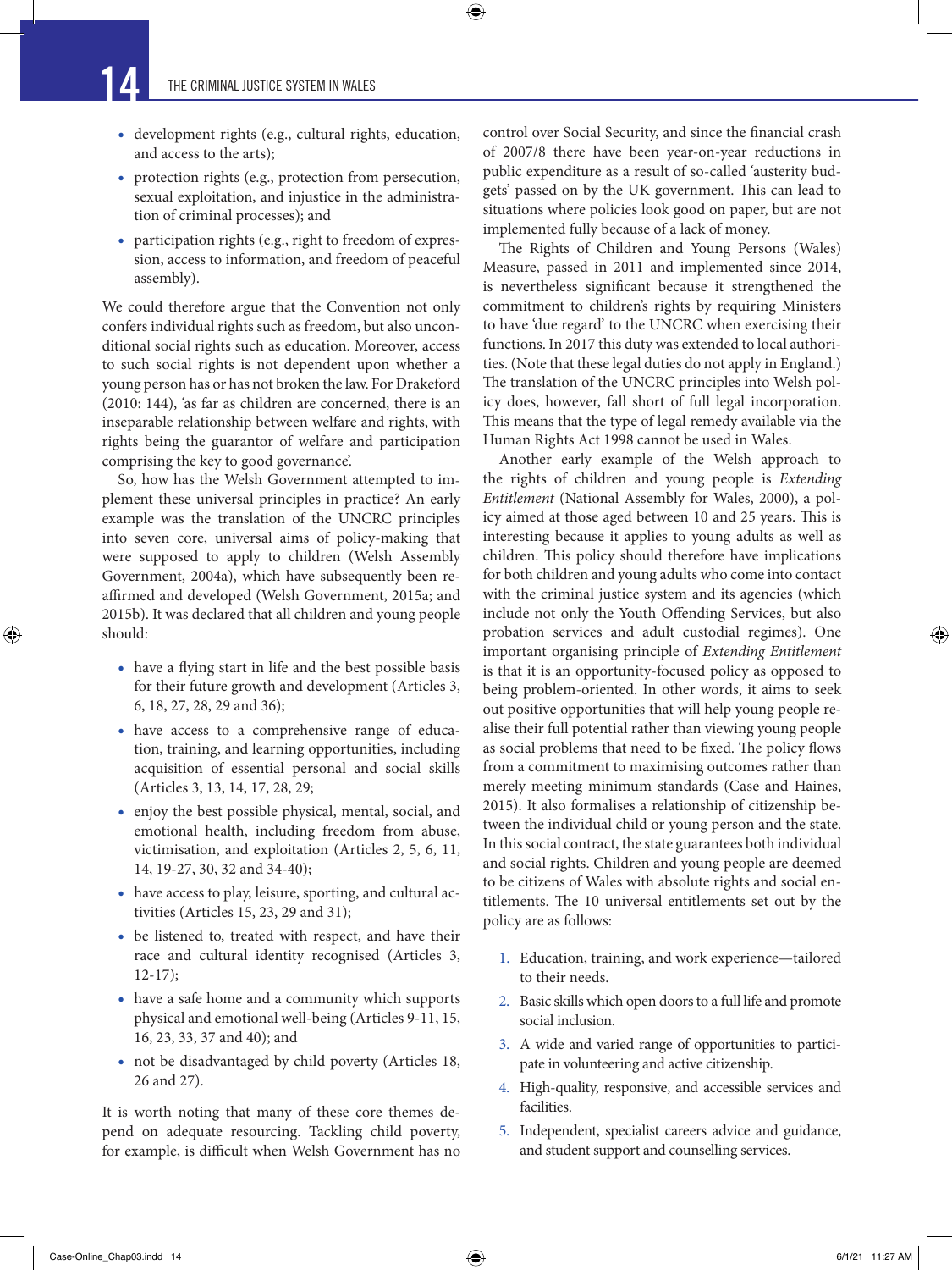• development rights (e.g., cultural rights, education, and access to the arts);

 $\bigcirc$ 

- protection rights (e.g., protection from persecution, sexual exploitation, and injustice in the administration of criminal processes); and
- participation rights (e.g., right to freedom of expression, access to information, and freedom of peaceful assembly).

We could therefore argue that the Convention not only confers individual rights such as freedom, but also unconditional social rights such as education. Moreover, access to such social rights is not dependent upon whether a young person has or has not broken the law. For Drakeford (2010: 144), 'as far as children are concerned, there is an inseparable relationship between welfare and rights, with rights being the guarantor of welfare and participation comprising the key to good governance'.

So, how has the Welsh Government attempted to implement these universal principles in practice? An early example was the translation of the UNCRC principles into seven core, universal aims of policy-making that were supposed to apply to children (Welsh Assembly Government, 2004a), which have subsequently been reaffirmed and developed (Welsh Government, 2015a; and 2015b). It was declared that all children and young people should:

- have a flying start in life and the best possible basis for their future growth and development (Articles 3, 6, 18, 27, 28, 29 and 36);
- have access to a comprehensive range of education, training, and learning opportunities, including acquisition of essential personal and social skills (Articles 3, 13, 14, 17, 28, 29;
- enjoy the best possible physical, mental, social, and emotional health, including freedom from abuse, victimisation, and exploitation (Articles 2, 5, 6, 11, 14, 19-27, 30, 32 and 34-40);
- have access to play, leisure, sporting, and cultural activities (Articles 15, 23, 29 and 31);
- be listened to, treated with respect, and have their race and cultural identity recognised (Articles 3, 12-17);
- have a safe home and a community which supports physical and emotional well-being (Articles 9-11, 15, 16, 23, 33, 37 and 40); and
- not be disadvantaged by child poverty (Articles 18, 26 and 27).

It is worth noting that many of these core themes depend on adequate resourcing. Tackling child poverty, for example, is difficult when Welsh Government has no control over Social Security, and since the financial crash of 2007/8 there have been year-on-year reductions in public expenditure as a result of so-called 'austerity budgets' passed on by the UK government. This can lead to situations where policies look good on paper, but are not implemented fully because of a lack of money.

The Rights of Children and Young Persons (Wales) Measure, passed in 2011 and implemented since 2014, is nevertheless significant because it strengthened the commitment to children's rights by requiring Ministers to have 'due regard' to the UNCRC when exercising their functions. In 2017 this duty was extended to local authorities. (Note that these legal duties do not apply in England.) The translation of the UNCRC principles into Welsh policy does, however, fall short of full legal incorporation. This means that the type of legal remedy available via the Human Rights Act 1998 cannot be used in Wales.

Another early example of the Welsh approach to the rights of children and young people is *Extending Entitlement* (National Assembly for Wales, 2000), a policy aimed at those aged between 10 and 25 years. This is interesting because it applies to young adults as well as children. This policy should therefore have implications for both children and young adults who come into contact with the criminal justice system and its agencies (which include not only the Youth Offending Services, but also probation services and adult custodial regimes). One important organising principle of *Extending Entitlement* is that it is an opportunity-focused policy as opposed to being problem-oriented. In other words, it aims to seek out positive opportunities that will help young people realise their full potential rather than viewing young people as social problems that need to be fixed. The policy flows from a commitment to maximising outcomes rather than merely meeting minimum standards (Case and Haines, 2015). It also formalises a relationship of citizenship between the individual child or young person and the state. In this social contract, the state guarantees both individual and social rights. Children and young people are deemed to be citizens of Wales with absolute rights and social entitlements. The 10 universal entitlements set out by the policy are as follows:

- 1. Education, training, and work experience—tailored to their needs.
- 2. Basic skills which open doors to a full life and promote social inclusion.
- 3. A wide and varied range of opportunities to participate in volunteering and active citizenship.
- 4. High-quality, responsive, and accessible services and facilities.
- 5. Independent, specialist careers advice and guidance, and student support and counselling services.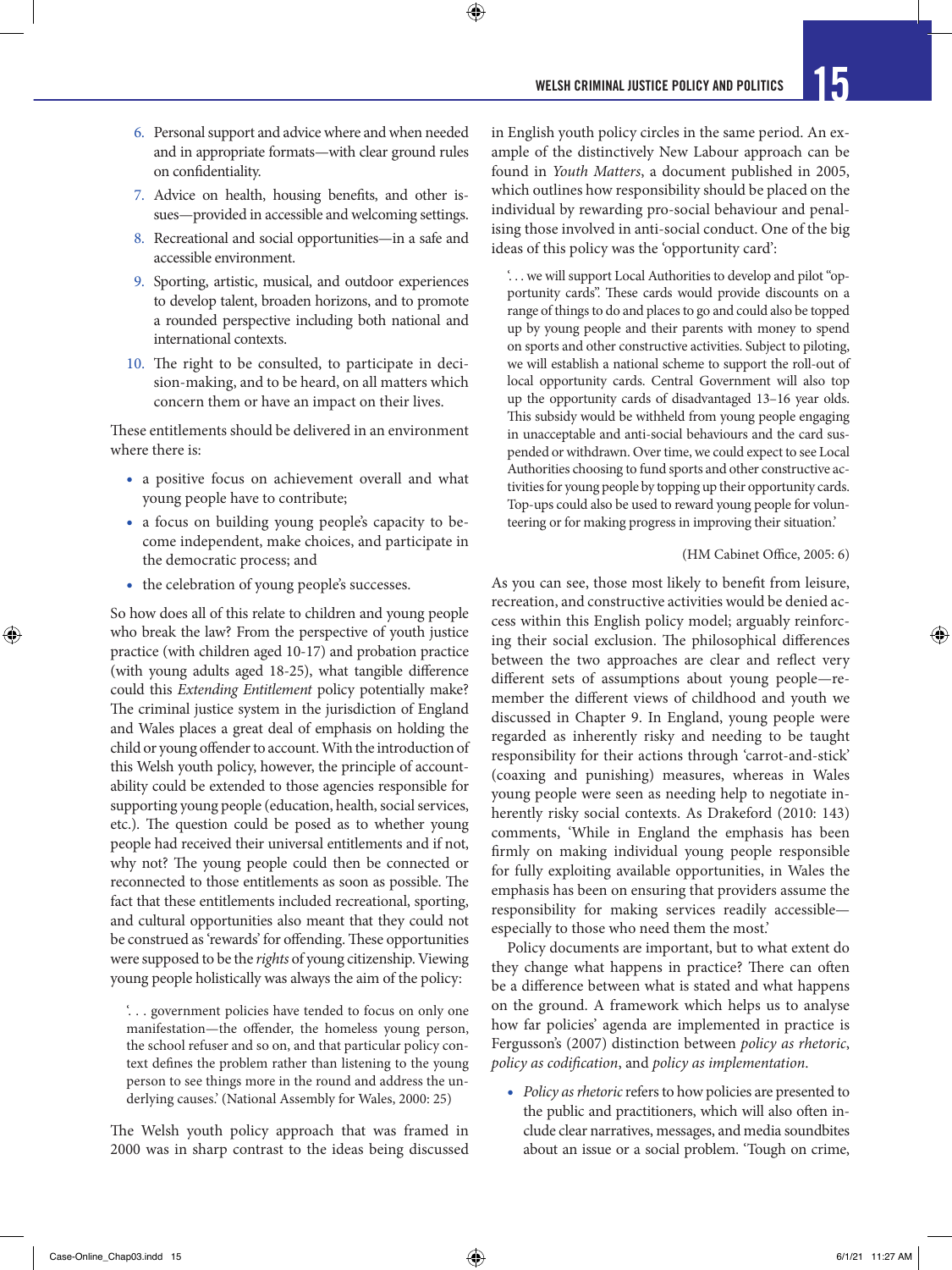$\bigcirc$ 

- 6. Personal support and advice where and when needed and in appropriate formats—with clear ground rules on confidentiality.
- 7. Advice on health, housing benefits, and other issues—provided in accessible and welcoming settings.
- 8. Recreational and social opportunities—in a safe and accessible environment.
- 9. Sporting, artistic, musical, and outdoor experiences to develop talent, broaden horizons, and to promote a rounded perspective including both national and international contexts.
- 10. The right to be consulted, to participate in decision-making, and to be heard, on all matters which concern them or have an impact on their lives.

These entitlements should be delivered in an environment where there is:

- a positive focus on achievement overall and what young people have to contribute;
- a focus on building young people's capacity to become independent, make choices, and participate in the democratic process; and
- the celebration of young people's successes.

So how does all of this relate to children and young people who break the law? From the perspective of youth justice practice (with children aged 10-17) and probation practice (with young adults aged 18-25), what tangible difference could this *Extending Entitlement* policy potentially make? The criminal justice system in the jurisdiction of England and Wales places a great deal of emphasis on holding the child or young offender to account. With the introduction of this Welsh youth policy, however, the principle of accountability could be extended to those agencies responsible for supporting young people (education, health, social services, etc.). The question could be posed as to whether young people had received their universal entitlements and if not, why not? The young people could then be connected or reconnected to those entitlements as soon as possible. The fact that these entitlements included recreational, sporting, and cultural opportunities also meant that they could not be construed as 'rewards' for offending. These opportunities were supposed to be the *rights* of young citizenship. Viewing young people holistically was always the aim of the policy:

'. . . government policies have tended to focus on only one manifestation—the offender, the homeless young person, the school refuser and so on, and that particular policy context defines the problem rather than listening to the young person to see things more in the round and address the underlying causes.' (National Assembly for Wales, 2000: 25)

The Welsh youth policy approach that was framed in 2000 was in sharp contrast to the ideas being discussed in English youth policy circles in the same period. An example of the distinctively New Labour approach can be found in *Youth Matters*, a document published in 2005, which outlines how responsibility should be placed on the individual by rewarding pro-social behaviour and penalising those involved in anti-social conduct. One of the big ideas of this policy was the 'opportunity card':

'. . . we will support Local Authorities to develop and pilot "opportunity cards". These cards would provide discounts on a range of things to do and places to go and could also be topped up by young people and their parents with money to spend on sports and other constructive activities. Subject to piloting, we will establish a national scheme to support the roll-out of local opportunity cards. Central Government will also top up the opportunity cards of disadvantaged 13–16 year olds. This subsidy would be withheld from young people engaging in unacceptable and anti-social behaviours and the card suspended or withdrawn. Over time, we could expect to see Local Authorities choosing to fund sports and other constructive activities for young people by topping up their opportunity cards. Top-ups could also be used to reward young people for volunteering or for making progress in improving their situation.'

#### (HM Cabinet Office, 2005: 6)

↔

As you can see, those most likely to benefit from leisure, recreation, and constructive activities would be denied access within this English policy model; arguably reinforcing their social exclusion. The philosophical differences between the two approaches are clear and reflect very different sets of assumptions about young people—remember the different views of childhood and youth we discussed in Chapter 9. In England, young people were regarded as inherently risky and needing to be taught responsibility for their actions through 'carrot-and-stick' (coaxing and punishing) measures, whereas in Wales young people were seen as needing help to negotiate inherently risky social contexts. As Drakeford (2010: 143) comments, 'While in England the emphasis has been firmly on making individual young people responsible for fully exploiting available opportunities, in Wales the emphasis has been on ensuring that providers assume the responsibility for making services readily accessible especially to those who need them the most.'

Policy documents are important, but to what extent do they change what happens in practice? There can often be a difference between what is stated and what happens on the ground. A framework which helps us to analyse how far policies' agenda are implemented in practice is Fergusson's (2007) distinction between *policy as rhetoric*, *policy as codification*, and *policy as implementation*.

• *Policy as rhetoric* refers to how policies are presented to the public and practitioners, which will also often include clear narratives, messages, and media soundbites about an issue or a social problem. 'Tough on crime,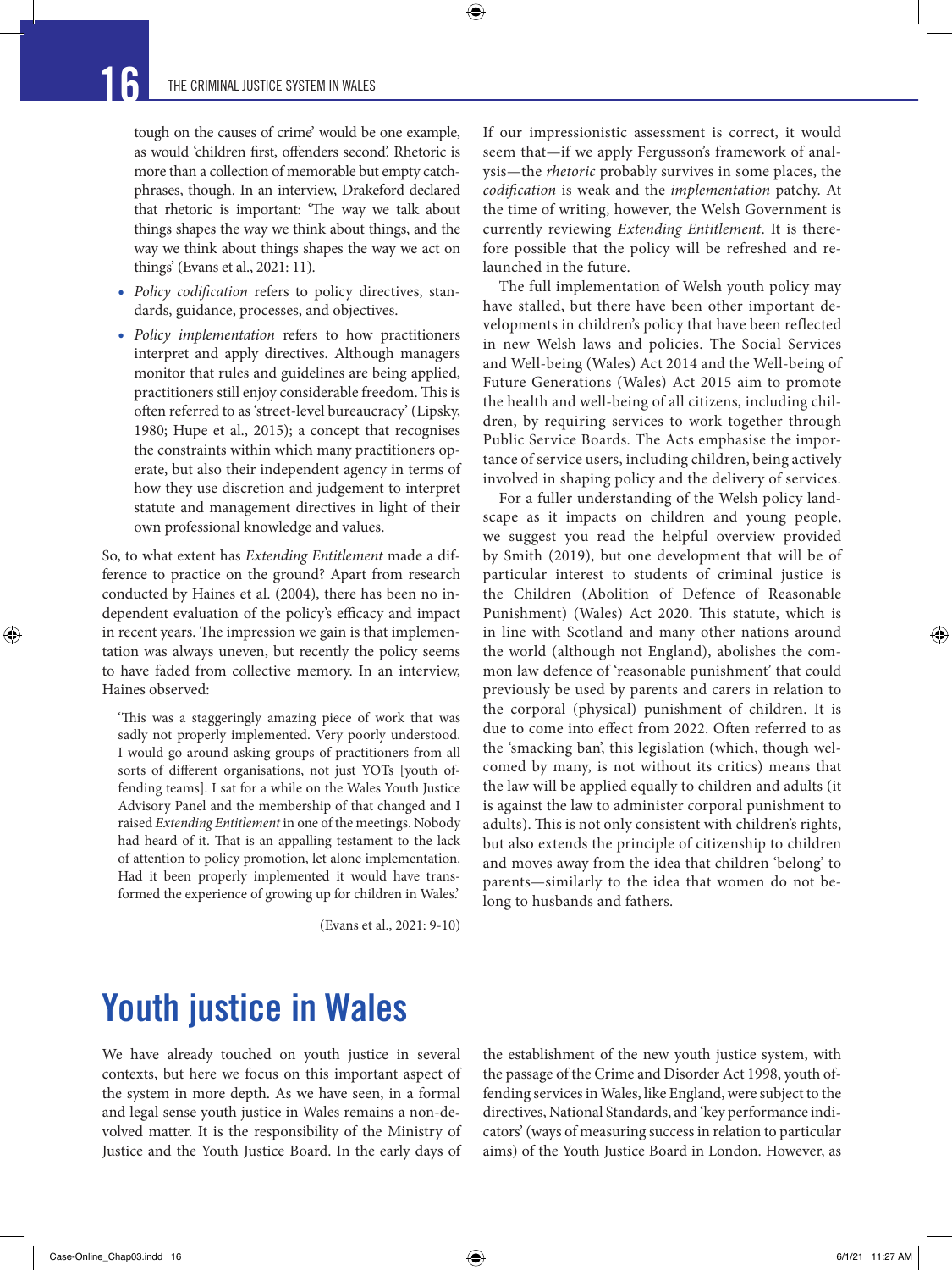⊕

tough on the causes of crime' would be one example, as would 'children first, offenders second'. Rhetoric is more than a collection of memorable but empty catchphrases, though. In an interview, Drakeford declared that rhetoric is important: 'The way we talk about things shapes the way we think about things, and the way we think about things shapes the way we act on things' (Evans et al., 2021: 11).

 $\bm{\Theta}$ 

- *Policy codification* refers to policy directives, standards, guidance, processes, and objectives.
- *Policy implementation* refers to how practitioners interpret and apply directives. Although managers monitor that rules and guidelines are being applied, practitioners still enjoy considerable freedom. This is often referred to as 'street-level bureaucracy' (Lipsky, 1980; Hupe et al., 2015); a concept that recognises the constraints within which many practitioners operate, but also their independent agency in terms of how they use discretion and judgement to interpret statute and management directives in light of their own professional knowledge and values.

So, to what extent has *Extending Entitlement* made a difference to practice on the ground? Apart from research conducted by Haines et al. (2004), there has been no independent evaluation of the policy's efficacy and impact in recent years. The impression we gain is that implementation was always uneven, but recently the policy seems to have faded from collective memory. In an interview, Haines observed:

'This was a staggeringly amazing piece of work that was sadly not properly implemented. Very poorly understood. I would go around asking groups of practitioners from all sorts of different organisations, not just YOTs [youth offending teams]. I sat for a while on the Wales Youth Justice Advisory Panel and the membership of that changed and I raised *Extending Entitlement* in one of the meetings. Nobody had heard of it. That is an appalling testament to the lack of attention to policy promotion, let alone implementation. Had it been properly implemented it would have transformed the experience of growing up for children in Wales.'

(Evans et al., 2021: 9-10)

If our impressionistic assessment is correct, it would seem that—if we apply Fergusson's framework of analysis—the *rhetoric* probably survives in some places, the *codification* is weak and the *implementation* patchy. At the time of writing, however, the Welsh Government is currently reviewing *Extending Entitlement*. It is therefore possible that the policy will be refreshed and relaunched in the future.

The full implementation of Welsh youth policy may have stalled, but there have been other important developments in children's policy that have been reflected in new Welsh laws and policies. The Social Services and Well-being (Wales) Act 2014 and the Well-being of Future Generations (Wales) Act 2015 aim to promote the health and well-being of all citizens, including children, by requiring services to work together through Public Service Boards. The Acts emphasise the importance of service users, including children, being actively involved in shaping policy and the delivery of services.

For a fuller understanding of the Welsh policy landscape as it impacts on children and young people, we suggest you read the helpful overview provided by Smith (2019), but one development that will be of particular interest to students of criminal justice is the Children (Abolition of Defence of Reasonable Punishment) (Wales) Act 2020. This statute, which is in line with Scotland and many other nations around the world (although not England), abolishes the common law defence of 'reasonable punishment' that could previously be used by parents and carers in relation to the corporal (physical) punishment of children. It is due to come into effect from 2022. Often referred to as the 'smacking ban', this legislation (which, though welcomed by many, is not without its critics) means that the law will be applied equally to children and adults (it is against the law to administer corporal punishment to adults). This is not only consistent with children's rights, but also extends the principle of citizenship to children and moves away from the idea that children 'belong' to parents—similarly to the idea that women do not belong to husbands and fathers.

# Youth justice in Wales

We have already touched on youth justice in several contexts, but here we focus on this important aspect of the system in more depth. As we have seen, in a formal and legal sense youth justice in Wales remains a non-devolved matter. It is the responsibility of the Ministry of Justice and the Youth Justice Board. In the early days of the establishment of the new youth justice system, with the passage of the Crime and Disorder Act 1998, youth offending services in Wales, like England, were subject to the directives, National Standards, and 'key performance indicators' (ways of measuring success in relation to particular aims) of the Youth Justice Board in London. However, as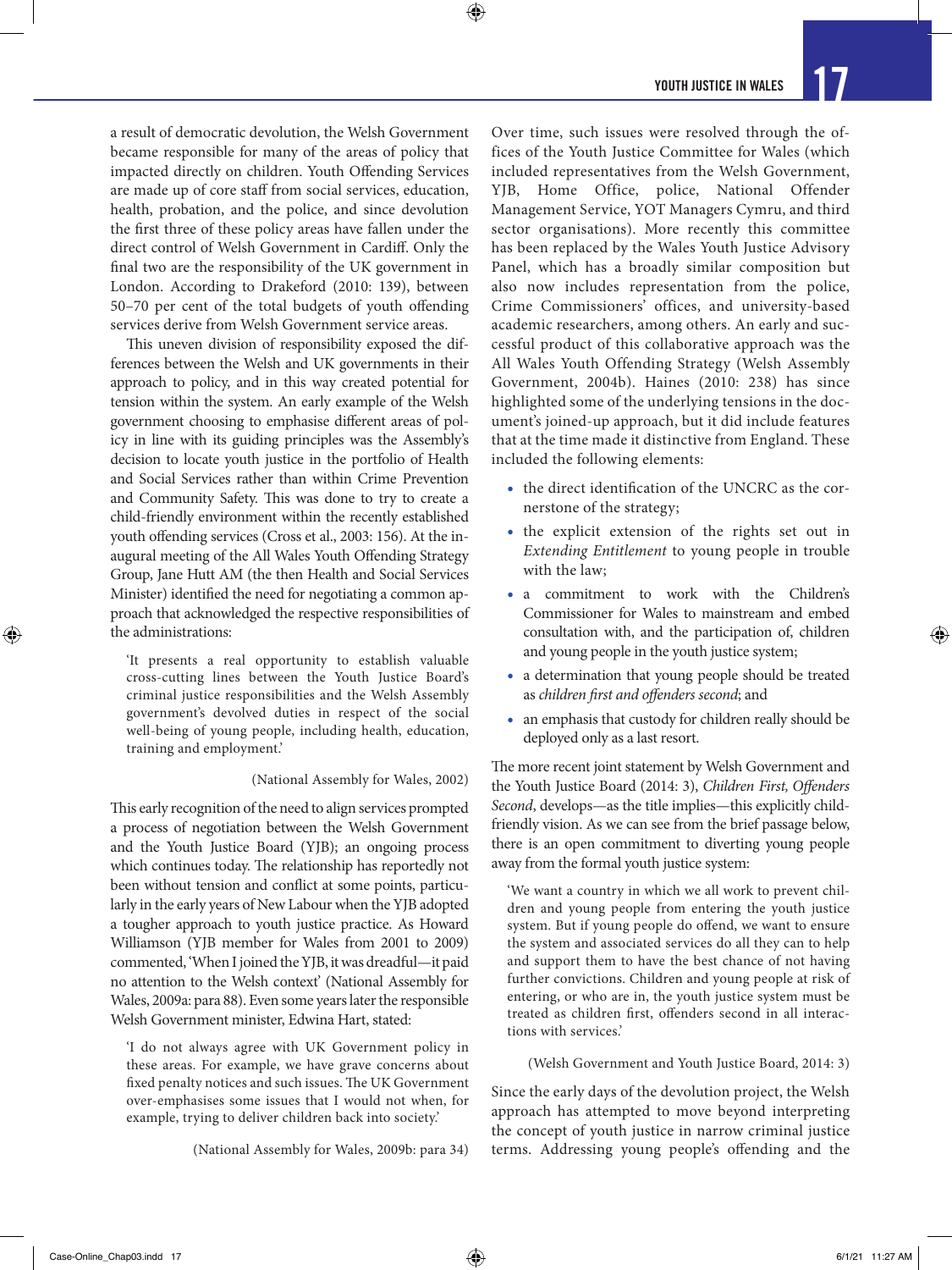a result of democratic devolution, the Welsh Government became responsible for many of the areas of policy that impacted directly on children. Youth Offending Services are made up of core staff from social services, education, health, probation, and the police, and since devolution the first three of these policy areas have fallen under the direct control of Welsh Government in Cardiff. Only the final two are the responsibility of the UK government in London. According to Drakeford (2010: 139), between 50–70 per cent of the total budgets of youth offending services derive from Welsh Government service areas.

 $\bigcirc$ 

This uneven division of responsibility exposed the differences between the Welsh and UK governments in their approach to policy, and in this way created potential for tension within the system. An early example of the Welsh government choosing to emphasise different areas of policy in line with its guiding principles was the Assembly's decision to locate youth justice in the portfolio of Health and Social Services rather than within Crime Prevention and Community Safety. This was done to try to create a child-friendly environment within the recently established youth offending services (Cross et al., 2003: 156). At the inaugural meeting of the All Wales Youth Offending Strategy Group, Jane Hutt AM (the then Health and Social Services Minister) identified the need for negotiating a common approach that acknowledged the respective responsibilities of the administrations:

'It presents a real opportunity to establish valuable cross-cutting lines between the Youth Justice Board's criminal justice responsibilities and the Welsh Assembly government's devolved duties in respect of the social well-being of young people, including health, education, training and employment.'

#### (National Assembly for Wales, 2002)

This early recognition of the need to align services prompted a process of negotiation between the Welsh Government and the Youth Justice Board (YJB); an ongoing process which continues today. The relationship has reportedly not been without tension and conflict at some points, particularly in the early years of New Labour when the YJB adopted a tougher approach to youth justice practice. As Howard Williamson (YJB member for Wales from 2001 to 2009) commented, 'When I joined the YJB, it was dreadful—it paid no attention to the Welsh context' (National Assembly for Wales, 2009a: para 88). Even some years later the responsible Welsh Government minister, Edwina Hart, stated:

'I do not always agree with UK Government policy in these areas. For example, we have grave concerns about fixed penalty notices and such issues. The UK Government over-emphasises some issues that I would not when, for example, trying to deliver children back into society.'

(National Assembly for Wales, 2009b: para 34)

Over time, such issues were resolved through the offices of the Youth Justice Committee for Wales (which included representatives from the Welsh Government, YJB, Home Office, police, National Offender Management Service, YOT Managers Cymru, and third sector organisations). More recently this committee has been replaced by the Wales Youth Justice Advisory Panel, which has a broadly similar composition but also now includes representation from the police, Crime Commissioners' offices, and university-based academic researchers, among others. An early and successful product of this collaborative approach was the All Wales Youth Offending Strategy (Welsh Assembly Government, 2004b). Haines (2010: 238) has since highlighted some of the underlying tensions in the document's joined-up approach, but it did include features that at the time made it distinctive from England. These included the following elements:

- the direct identification of the UNCRC as the cornerstone of the strategy;
- the explicit extension of the rights set out in *Extending Entitlement* to young people in trouble with the law;
- a commitment to work with the Children's Commissioner for Wales to mainstream and embed consultation with, and the participation of, children and young people in the youth justice system;
- a determination that young people should be treated as *children first and offenders second*; and
- an emphasis that custody for children really should be deployed only as a last resort.

The more recent joint statement by Welsh Government and the Youth Justice Board (2014: 3), *Children First, Offenders Second*, develops—as the title implies—this explicitly childfriendly vision. As we can see from the brief passage below, there is an open commitment to diverting young people away from the formal youth justice system:

'We want a country in which we all work to prevent children and young people from entering the youth justice system. But if young people do offend, we want to ensure the system and associated services do all they can to help and support them to have the best chance of not having further convictions. Children and young people at risk of entering, or who are in, the youth justice system must be treated as children first, offenders second in all interactions with services.'

(Welsh Government and Youth Justice Board, 2014: 3)

Since the early days of the devolution project, the Welsh approach has attempted to move beyond interpreting the concept of youth justice in narrow criminal justice terms. Addressing young people's offending and the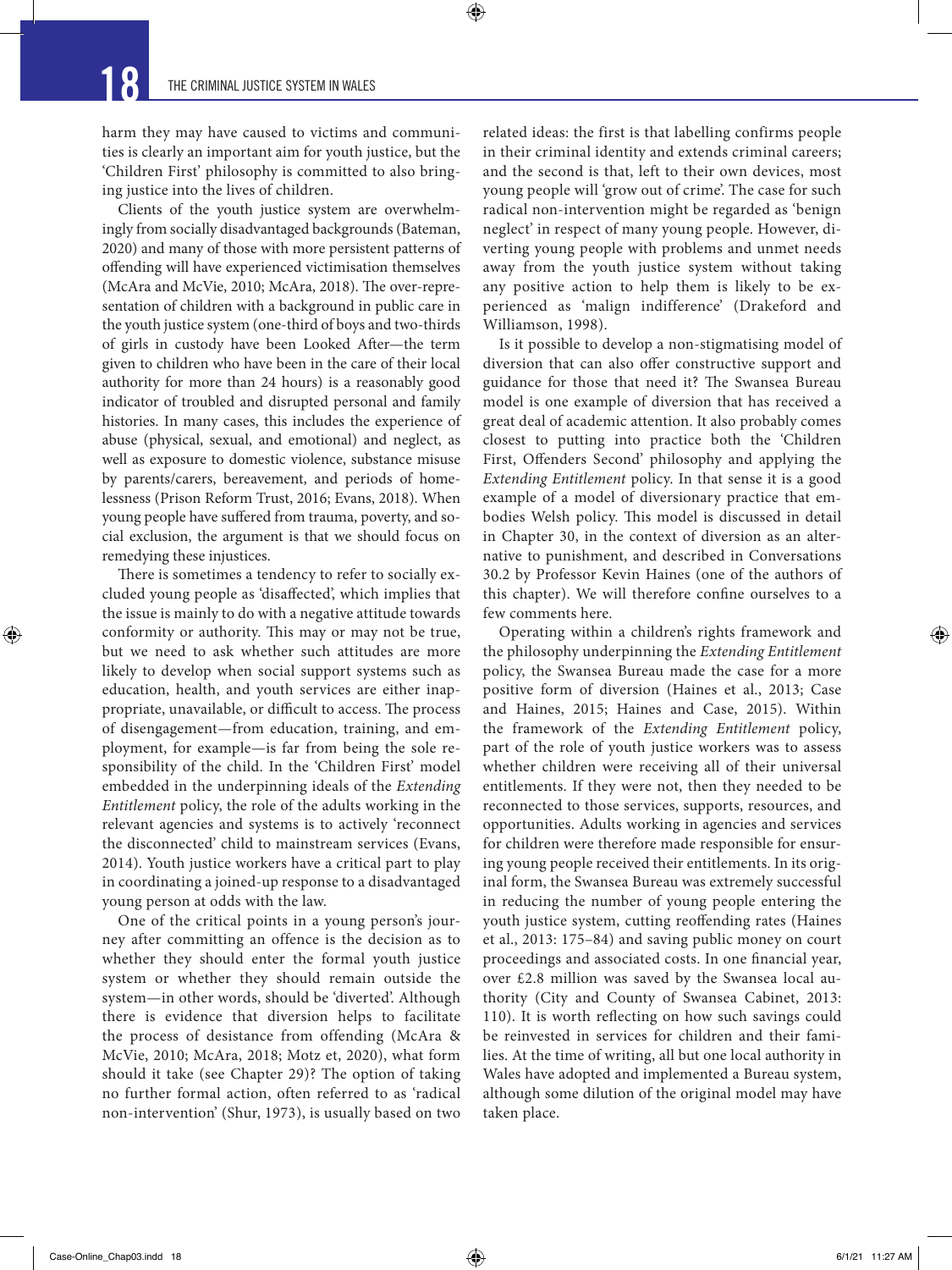harm they may have caused to victims and communities is clearly an important aim for youth justice, but the 'Children First' philosophy is committed to also bringing justice into the lives of children.

 $\bigcirc$ 

Clients of the youth justice system are overwhelmingly from socially disadvantaged backgrounds (Bateman, 2020) and many of those with more persistent patterns of offending will have experienced victimisation themselves (McAra and McVie, 2010; McAra, 2018). The over-representation of children with a background in public care in the youth justice system (one-third of boys and two-thirds of girls in custody have been Looked After—the term given to children who have been in the care of their local authority for more than 24 hours) is a reasonably good indicator of troubled and disrupted personal and family histories. In many cases, this includes the experience of abuse (physical, sexual, and emotional) and neglect, as well as exposure to domestic violence, substance misuse by parents/carers, bereavement, and periods of homelessness (Prison Reform Trust, 2016; Evans, 2018). When young people have suffered from trauma, poverty, and social exclusion, the argument is that we should focus on remedying these injustices.

There is sometimes a tendency to refer to socially excluded young people as 'disaffected', which implies that the issue is mainly to do with a negative attitude towards conformity or authority. This may or may not be true, but we need to ask whether such attitudes are more likely to develop when social support systems such as education, health, and youth services are either inappropriate, unavailable, or difficult to access. The process of disengagement—from education, training, and employment, for example—is far from being the sole responsibility of the child. In the 'Children First' model embedded in the underpinning ideals of the *Extending Entitlement* policy, the role of the adults working in the relevant agencies and systems is to actively 'reconnect the disconnected' child to mainstream services (Evans, 2014). Youth justice workers have a critical part to play in coordinating a joined-up response to a disadvantaged young person at odds with the law.

One of the critical points in a young person's journey after committing an offence is the decision as to whether they should enter the formal youth justice system or whether they should remain outside the system—in other words, should be 'diverted'. Although there is evidence that diversion helps to facilitate the process of desistance from offending (McAra & McVie, 2010; McAra, 2018; Motz et, 2020), what form should it take (see Chapter 29)? The option of taking no further formal action, often referred to as 'radical non-intervention' (Shur, 1973), is usually based on two

related ideas: the first is that labelling confirms people in their criminal identity and extends criminal careers; and the second is that, left to their own devices, most young people will 'grow out of crime'. The case for such radical non-intervention might be regarded as 'benign neglect' in respect of many young people. However, diverting young people with problems and unmet needs away from the youth justice system without taking any positive action to help them is likely to be experienced as 'malign indifference' (Drakeford and Williamson, 1998).

Is it possible to develop a non-stigmatising model of diversion that can also offer constructive support and guidance for those that need it? The Swansea Bureau model is one example of diversion that has received a great deal of academic attention. It also probably comes closest to putting into practice both the 'Children First, Offenders Second' philosophy and applying the *Extending Entitlement* policy. In that sense it is a good example of a model of diversionary practice that embodies Welsh policy. This model is discussed in detail in Chapter 30, in the context of diversion as an alternative to punishment, and described in Conversations 30.2 by Professor Kevin Haines (one of the authors of this chapter). We will therefore confine ourselves to a few comments here.

Operating within a children's rights framework and the philosophy underpinning the *Extending Entitlement* policy, the Swansea Bureau made the case for a more positive form of diversion (Haines et al., 2013; Case and Haines, 2015; Haines and Case, 2015). Within the framework of the *Extending Entitlement* policy, part of the role of youth justice workers was to assess whether children were receiving all of their universal entitlements. If they were not, then they needed to be reconnected to those services, supports, resources, and opportunities. Adults working in agencies and services for children were therefore made responsible for ensuring young people received their entitlements. In its original form, the Swansea Bureau was extremely successful in reducing the number of young people entering the youth justice system, cutting reoffending rates (Haines et al., 2013: 175–84) and saving public money on court proceedings and associated costs. In one financial year, over £2.8 million was saved by the Swansea local authority (City and County of Swansea Cabinet, 2013: 110). It is worth reflecting on how such savings could be reinvested in services for children and their families. At the time of writing, all but one local authority in Wales have adopted and implemented a Bureau system, although some dilution of the original model may have taken place.

 $Case-Online\_Chap03.ind$  18 6/1/21 11:27 AM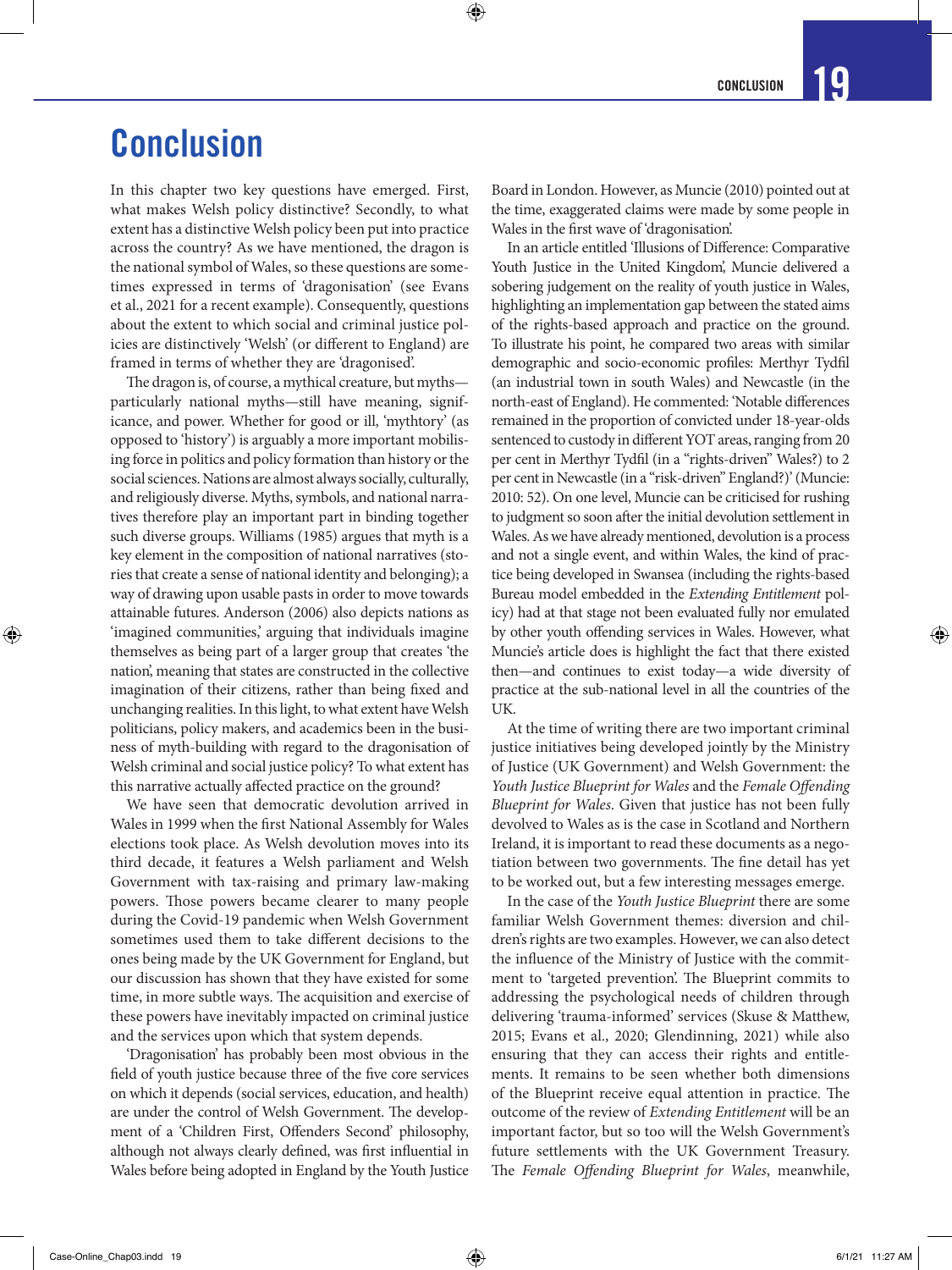# **Conclusion**

In this chapter two key questions have emerged. First, what makes Welsh policy distinctive? Secondly, to what extent has a distinctive Welsh policy been put into practice across the country? As we have mentioned, the dragon is the national symbol of Wales, so these questions are sometimes expressed in terms of 'dragonisation' (see Evans et al., 2021 for a recent example). Consequently, questions about the extent to which social and criminal justice policies are distinctively 'Welsh' (or different to England) are framed in terms of whether they are 'dragonised'.

The dragon is, of course, a mythical creature, but myths particularly national myths—still have meaning, significance, and power. Whether for good or ill, 'mythtory' (as opposed to 'history') is arguably a more important mobilising force in politics and policy formation than history or the social sciences. Nations are almost always socially, culturally, and religiously diverse. Myths, symbols, and national narratives therefore play an important part in binding together such diverse groups. Williams (1985) argues that myth is a key element in the composition of national narratives (stories that create a sense of national identity and belonging); a way of drawing upon usable pasts in order to move towards attainable futures. Anderson (2006) also depicts nations as 'imagined communities,' arguing that individuals imagine themselves as being part of a larger group that creates 'the nation', meaning that states are constructed in the collective imagination of their citizens, rather than being fixed and unchanging realities. In this light, to what extent have Welsh politicians, policy makers, and academics been in the business of myth-building with regard to the dragonisation of Welsh criminal and social justice policy? To what extent has this narrative actually affected practice on the ground?

We have seen that democratic devolution arrived in Wales in 1999 when the first National Assembly for Wales elections took place. As Welsh devolution moves into its third decade, it features a Welsh parliament and Welsh Government with tax-raising and primary law-making powers. Those powers became clearer to many people during the Covid-19 pandemic when Welsh Government sometimes used them to take different decisions to the ones being made by the UK Government for England, but our discussion has shown that they have existed for some time, in more subtle ways. The acquisition and exercise of these powers have inevitably impacted on criminal justice and the services upon which that system depends.

'Dragonisation' has probably been most obvious in the field of youth justice because three of the five core services on which it depends (social services, education, and health) are under the control of Welsh Government. The development of a 'Children First, Offenders Second' philosophy, although not always clearly defined, was first influential in Wales before being adopted in England by the Youth Justice Board in London. However, as Muncie (2010) pointed out at the time, exaggerated claims were made by some people in Wales in the first wave of 'dragonisation'.

 $\bm{\Theta}$ 

In an article entitled 'Illusions of Difference: Comparative Youth Justice in the United Kingdom', Muncie delivered a sobering judgement on the reality of youth justice in Wales, highlighting an implementation gap between the stated aims of the rights-based approach and practice on the ground. To illustrate his point, he compared two areas with similar demographic and socio-economic profiles: Merthyr Tydfil (an industrial town in south Wales) and Newcastle (in the north-east of England). He commented: 'Notable differences remained in the proportion of convicted under 18-year-olds sentenced to custody in different YOT areas, ranging from 20 per cent in Merthyr Tydfil (in a "rights-driven" Wales?) to 2 per cent in Newcastle (in a "risk-driven" England?)' (Muncie: 2010: 52). On one level, Muncie can be criticised for rushing to judgment so soon after the initial devolution settlement in Wales. As we have already mentioned, devolution is a process and not a single event, and within Wales, the kind of practice being developed in Swansea (including the rights-based Bureau model embedded in the *Extending Entitlement* policy) had at that stage not been evaluated fully nor emulated by other youth offending services in Wales. However, what Muncie's article does is highlight the fact that there existed then—and continues to exist today—a wide diversity of practice at the sub-national level in all the countries of the UK.

At the time of writing there are two important criminal justice initiatives being developed jointly by the Ministry of Justice (UK Government) and Welsh Government: the *Youth Justice Blueprint for Wales* and the *Female Offending Blueprint for Wales*. Given that justice has not been fully devolved to Wales as is the case in Scotland and Northern Ireland, it is important to read these documents as a negotiation between two governments. The fine detail has yet to be worked out, but a few interesting messages emerge.

In the case of the *Youth Justice Blueprint* there are some familiar Welsh Government themes: diversion and children's rights are two examples. However, we can also detect the influence of the Ministry of Justice with the commitment to 'targeted prevention'. The Blueprint commits to addressing the psychological needs of children through delivering 'trauma-informed' services (Skuse & Matthew, 2015; Evans et al., 2020; Glendinning, 2021) while also ensuring that they can access their rights and entitlements. It remains to be seen whether both dimensions of the Blueprint receive equal attention in practice. The outcome of the review of *Extending Entitlement* will be an important factor, but so too will the Welsh Government's future settlements with the UK Government Treasury. The *Female Offending Blueprint for Wales*, meanwhile,

⊕

↔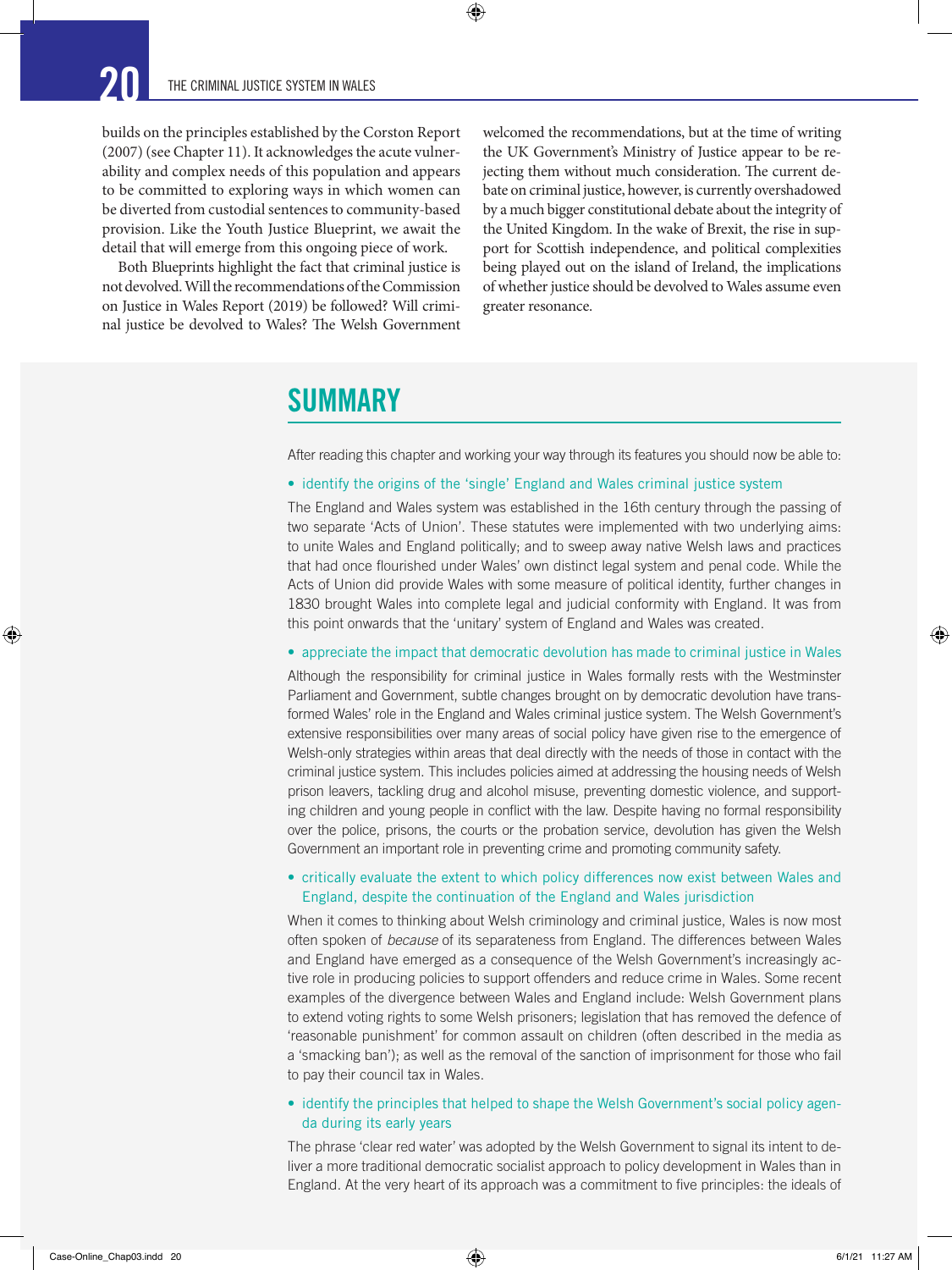builds on the principles established by the Corston Report (2007) (see Chapter 11). It acknowledges the acute vulnerability and complex needs of this population and appears to be committed to exploring ways in which women can be diverted from custodial sentences to community-based provision. Like the Youth Justice Blueprint, we await the detail that will emerge from this ongoing piece of work.

Both Blueprints highlight the fact that criminal justice is not devolved. Will the recommendations of the Commission on Justice in Wales Report (2019) be followed? Will criminal justice be devolved to Wales? The Welsh Government

welcomed the recommendations, but at the time of writing the UK Government's Ministry of Justice appear to be rejecting them without much consideration. The current debate on criminal justice, however, is currently overshadowed by a much bigger constitutional debate about the integrity of the United Kingdom. In the wake of Brexit, the rise in support for Scottish independence, and political complexities being played out on the island of Ireland, the implications of whether justice should be devolved to Wales assume even greater resonance.

### **SUMMARY**

After reading this chapter and working your way through its features you should now be able to:

#### • identify the origins of the 'single' England and Wales criminal justice system

 $\bigoplus$ 

The England and Wales system was established in the 16th century through the passing of two separate 'Acts of Union'. These statutes were implemented with two underlying aims: to unite Wales and England politically; and to sweep away native Welsh laws and practices that had once flourished under Wales' own distinct legal system and penal code. While the Acts of Union did provide Wales with some measure of political identity, further changes in 1830 brought Wales into complete legal and judicial conformity with England. It was from this point onwards that the 'unitary' system of England and Wales was created.

#### • appreciate the impact that democratic devolution has made to criminal justice in Wales

Although the responsibility for criminal justice in Wales formally rests with the Westminster Parliament and Government, subtle changes brought on by democratic devolution have transformed Wales' role in the England and Wales criminal justice system. The Welsh Government's extensive responsibilities over many areas of social policy have given rise to the emergence of Welsh-only strategies within areas that deal directly with the needs of those in contact with the criminal justice system. This includes policies aimed at addressing the housing needs of Welsh prison leavers, tackling drug and alcohol misuse, preventing domestic violence, and supporting children and young people in conflict with the law. Despite having no formal responsibility over the police, prisons, the courts or the probation service, devolution has given the Welsh Government an important role in preventing crime and promoting community safety.

### • critically evaluate the extent to which policy differences now exist between Wales and England, despite the continuation of the England and Wales jurisdiction

When it comes to thinking about Welsh criminology and criminal justice, Wales is now most often spoken of *because* of its separateness from England. The differences between Wales and England have emerged as a consequence of the Welsh Government's increasingly active role in producing policies to support offenders and reduce crime in Wales. Some recent examples of the divergence between Wales and England include: Welsh Government plans to extend voting rights to some Welsh prisoners; legislation that has removed the defence of 'reasonable punishment' for common assault on children (often described in the media as a 'smacking ban'); as well as the removal of the sanction of imprisonment for those who fail to pay their council tax in Wales.

#### • identify the principles that helped to shape the Welsh Government's social policy agenda during its early years

The phrase 'clear red water' was adopted by the Welsh Government to signal its intent to deliver a more traditional democratic socialist approach to policy development in Wales than in England. At the very heart of its approach was a commitment to five principles: the ideals of

⊕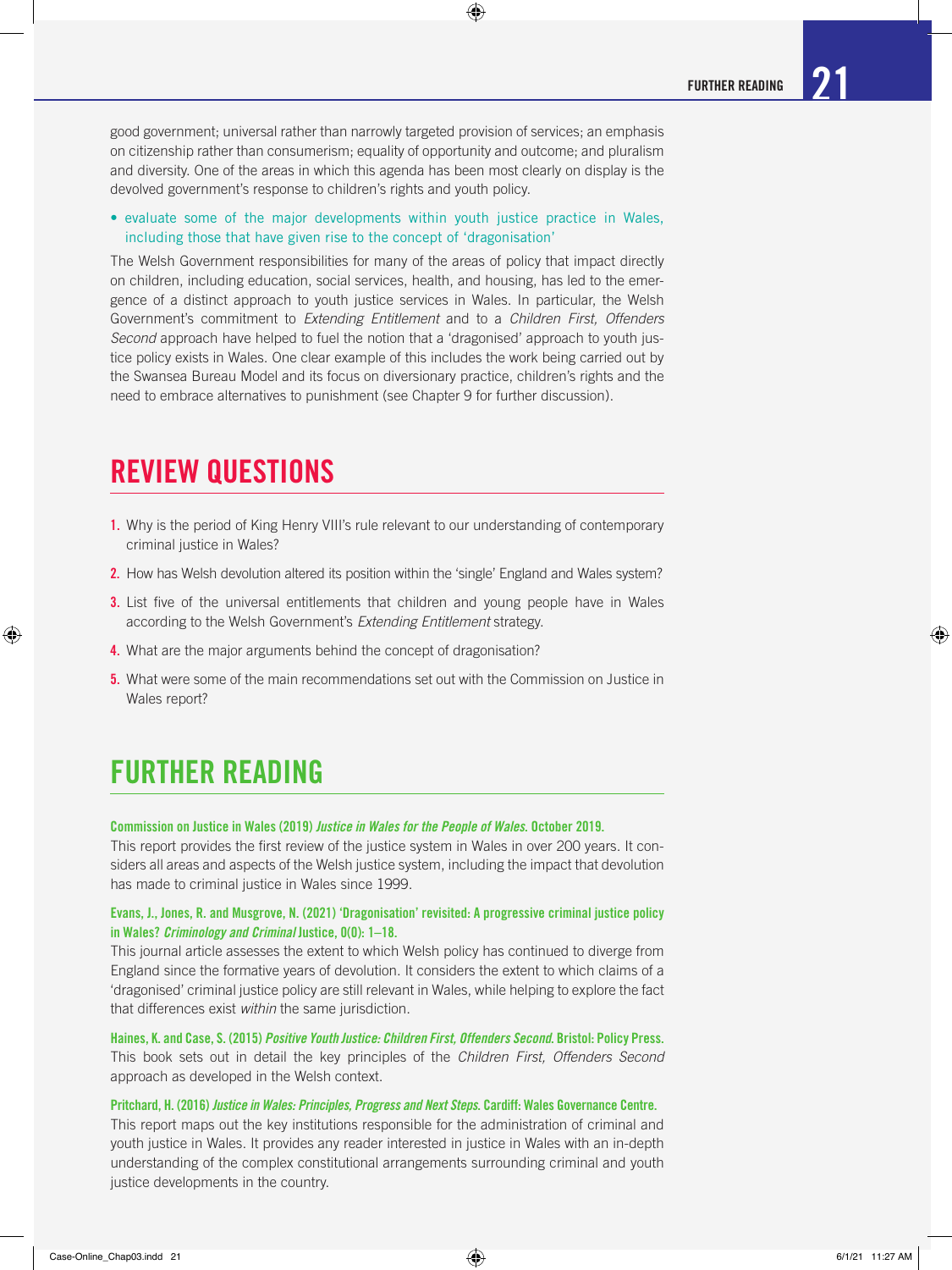good government; universal rather than narrowly targeted provision of services; an emphasis on citizenship rather than consumerism; equality of opportunity and outcome; and pluralism and diversity. One of the areas in which this agenda has been most clearly on display is the devolved government's response to children's rights and youth policy.

 $\bigcirc$ 

• evaluate some of the major developments within youth justice practice in Wales, including those that have given rise to the concept of 'dragonisation'

The Welsh Government responsibilities for many of the areas of policy that impact directly on children, including education, social services, health, and housing, has led to the emergence of a distinct approach to youth justice services in Wales. In particular, the Welsh Government's commitment to *Extending Entitlement* and to a *Children First, Offenders Second* approach have helped to fuel the notion that a 'dragonised' approach to youth justice policy exists in Wales. One clear example of this includes the work being carried out by the Swansea Bureau Model and its focus on diversionary practice, children's rights and the need to embrace alternatives to punishment (see Chapter 9 for further discussion).

### REVIEW QUESTIONS

- 1. Why is the period of King Henry VIII's rule relevant to our understanding of contemporary criminal justice in Wales?
- 2. How has Welsh devolution altered its position within the 'single' England and Wales system?
- **3.** List five of the universal entitlements that children and young people have in Wales according to the Welsh Government's *Extending Entitlement* strategy.
- 4. What are the major arguments behind the concept of dragonisation?
- 5. What were some of the main recommendations set out with the Commission on Justice in Wales report?

# FURTHER READING

#### Commission on Justice in Wales (2019) *Justice in Wales for the People of Wales*. October 2019.

This report provides the first review of the justice system in Wales in over 200 years. It considers all areas and aspects of the Welsh justice system, including the impact that devolution has made to criminal justice in Wales since 1999.

### Evans, J., Jones, R. and Musgrove, N. (2021) 'Dragonisation' revisited: A progressive criminal justice policy in Wales? *Criminology and Criminal* Justice, 0(0): 1–18.

This journal article assesses the extent to which Welsh policy has continued to diverge from England since the formative years of devolution. It considers the extent to which claims of a 'dragonised' criminal justice policy are still relevant in Wales, while helping to explore the fact that differences exist *within* the same jurisdiction.

Haines, K. and Case, S. (2015) *Positive Youth Justice: Children First, Offenders Second*. Bristol: Policy Press. This book sets out in detail the key principles of the *Children First, Offenders Second* approach as developed in the Welsh context.

#### Pritchard, H. (2016) *Justice in Wales: Principles, Progress and Next Steps*. Cardiff: Wales Governance Centre.

This report maps out the key institutions responsible for the administration of criminal and youth justice in Wales. It provides any reader interested in justice in Wales with an in-depth understanding of the complex constitutional arrangements surrounding criminal and youth justice developments in the country.

⊕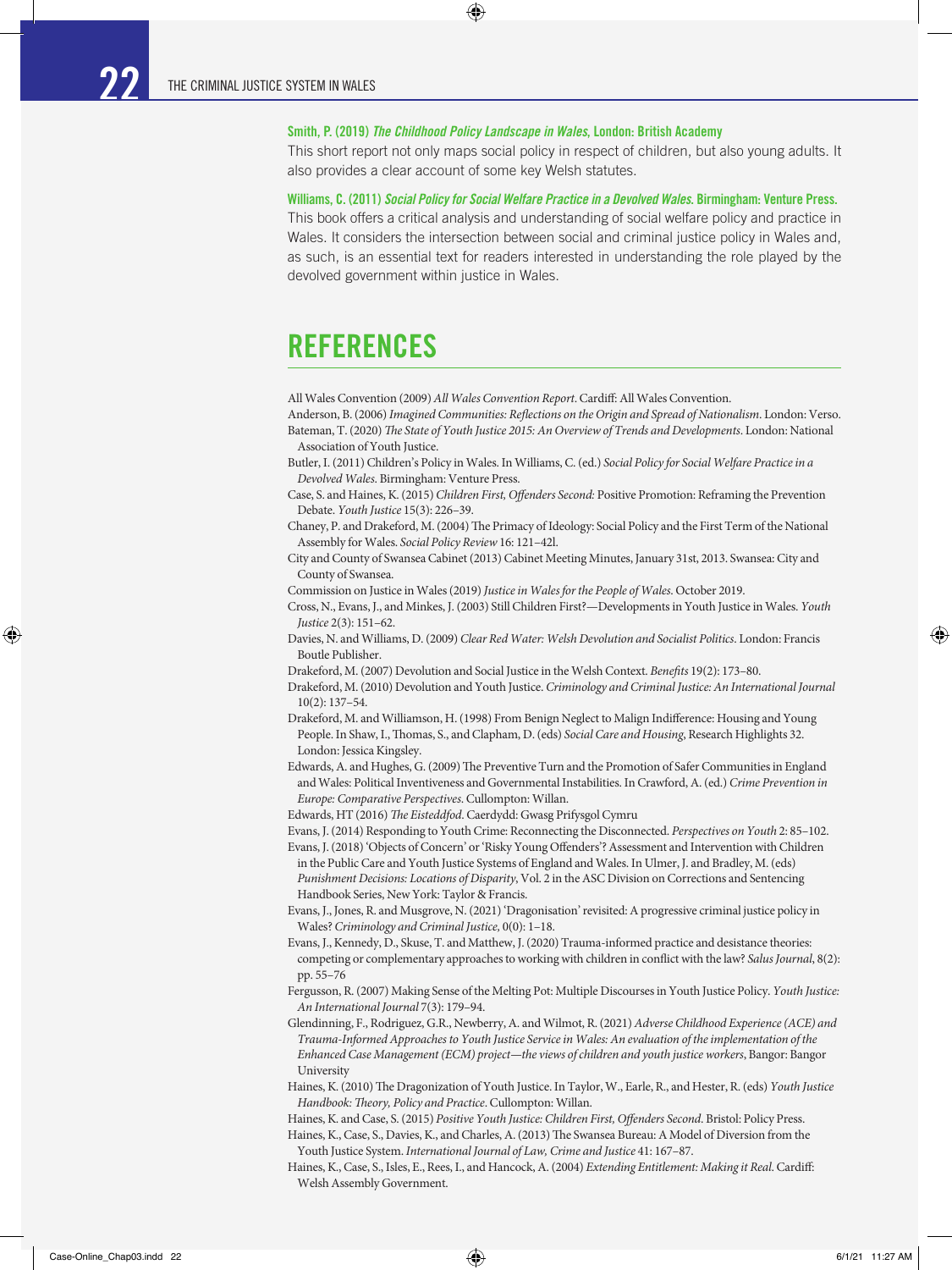#### Smith, P. (2019) *The Childhood Policy Landscape in Wales*, London: British Academy

◈

This short report not only maps social policy in respect of children, but also young adults. It also provides a clear account of some key Welsh statutes.

#### Williams, C. (2011) *Social Policy for Social Welfare Practice in a Devolved Wales*. Birmingham: Venture Press.

This book offers a critical analysis and understanding of social welfare policy and practice in Wales. It considers the intersection between social and criminal justice policy in Wales and, as such, is an essential text for readers interested in understanding the role played by the devolved government within justice in Wales.

# REFERENCES

All Wales Convention (2009) *All Wales Convention Report*. Cardiff: All Wales Convention.

Anderson, B. (2006) *Imagined Communities: Reflections on the Origin and Spread of Nationalism*. London: Verso. Bateman, T. (2020) *The State of Youth Justice 2015: An Overview of Trends and Developments*. London: National Association of Youth Justice.

- Butler, I. (2011) Children's Policy in Wales. In Williams, C. (ed.) *Social Policy for Social Welfare Practice in a Devolved Wales*. Birmingham: Venture Press.
- Case, S. and Haines, K. (2015) *Children First, Offenders Second:* Positive Promotion: Reframing the Prevention Debate. *Youth Justice* 15(3): 226–39.
- Chaney, P. and Drakeford, M. (2004) The Primacy of Ideology: Social Policy and the First Term of the National Assembly for Wales. *Social Policy Review* 16: 121–42l.
- City and County of Swansea Cabinet (2013) Cabinet Meeting Minutes, January 31st, 2013. Swansea: City and County of Swansea.
- Commission on Justice in Wales (2019) *Justice in Wales for the People of Wales*. October 2019.
- Cross, N., Evans, J., and Minkes, J. (2003) Still Children First?—Developments in Youth Justice in Wales. *Youth Justice* 2(3): 151–62.
- Davies, N. and Williams, D. (2009) *Clear Red Water: Welsh Devolution and Socialist Politics*. London: Francis Boutle Publisher.
- Drakeford, M. (2007) Devolution and Social Justice in the Welsh Context. *Benefits* 19(2): 173–80.
- Drakeford, M. (2010) Devolution and Youth Justice. *Criminology and Criminal Justice: An International Journal* 10(2): 137–54.
- Drakeford, M. and Williamson, H. (1998) From Benign Neglect to Malign Indifference: Housing and Young People. In Shaw, I., Thomas, S., and Clapham, D. (eds) *Social Care and Housing*, Research Highlights 32. London: Jessica Kingsley.
- Edwards, A. and Hughes, G. (2009) The Preventive Turn and the Promotion of Safer Communities in England and Wales: Political Inventiveness and Governmental Instabilities. In Crawford, A. (ed.) *Crime Prevention in Europe: Comparative Perspectives*. Cullompton: Willan.

Edwards, HT (2016) *The Eisteddfod*. Caerdydd: Gwasg Prifysgol Cymru

Evans, J. (2014) Responding to Youth Crime: Reconnecting the Disconnected. *Perspectives on Youth* 2: 85–102. Evans, J. (2018) 'Objects of Concern' or 'Risky Young Offenders'? Assessment and Intervention with Children in the Public Care and Youth Justice Systems of England and Wales. In Ulmer, J. and Bradley, M. (eds)

*Punishment Decisions: Locations of Disparity*, Vol. 2 in the ASC Division on Corrections and Sentencing Handbook Series, New York: Taylor & Francis.

- Evans, J., Jones, R. and Musgrove, N. (2021) 'Dragonisation' revisited: A progressive criminal justice policy in Wales? *Criminology and Criminal Justice,* 0(0): 1–18.
- Evans, J., Kennedy, D., Skuse, T. and Matthew, J. (2020) Trauma-informed practice and desistance theories: competing or complementary approaches to working with children in conflict with the law? *Salus Journal*, 8(2): pp. 55–76
- Fergusson, R. (2007) Making Sense of the Melting Pot: Multiple Discourses in Youth Justice Policy. *Youth Justice: An International Journal* 7(3): 179–94.
- Glendinning, F., Rodriguez, G.R., Newberry, A. and Wilmot, R. (2021) *Adverse Childhood Experience (ACE) and Trauma-Informed Approaches to Youth Justice Service in Wales: An evaluation of the implementation of the Enhanced Case Management (ECM) project—the views of children and youth justice workers*, Bangor: Bangor University
- Haines, K. (2010) The Dragonization of Youth Justice. In Taylor, W., Earle, R., and Hester, R. (eds) *Youth Justice Handbook: Theory, Policy and Practice*. Cullompton: Willan.
- Haines, K. and Case, S. (2015) *Positive Youth Justice: Children First, Offenders Second*. Bristol: Policy Press.
- Haines, K., Case, S., Davies, K., and Charles, A. (2013) The Swansea Bureau: A Model of Diversion from the Youth Justice System. *International Journal of Law, Crime and Justice* 41: 167–87.
- Haines, K., Case, S., Isles, E., Rees, I., and Hancock, A. (2004) *Extending Entitlement: Making it Real*. Cardiff: Welsh Assembly Government.

⊕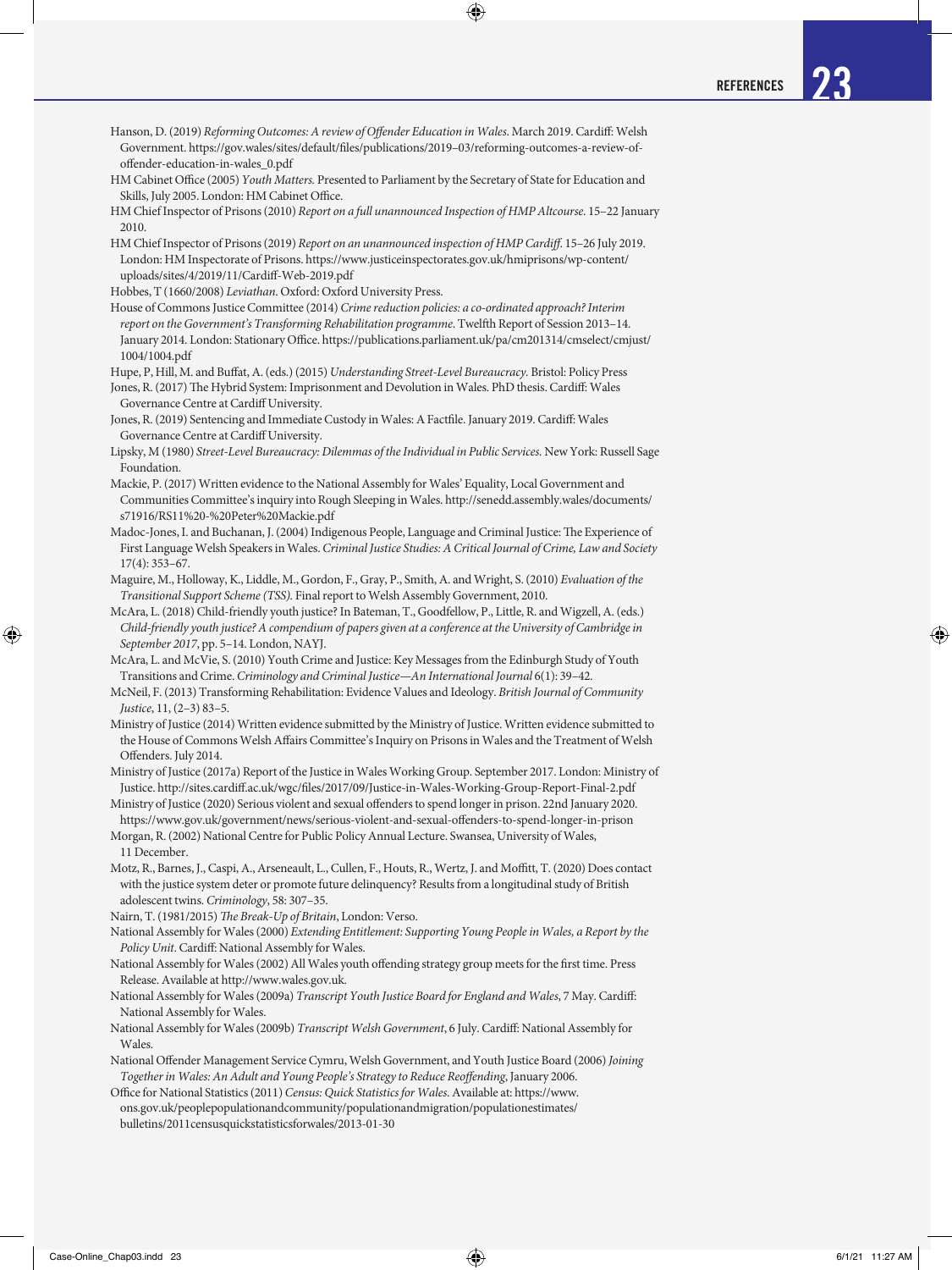Hanson, D. (2019) *Reforming Outcomes: A review of Offender Education in Wales*. March 2019. Cardiff: Welsh Government. https://gov.wales/sites/default/files/publications/2019–03/reforming-outcomes-a-review-ofoffender-education-in-wales\_0.pdf HM Cabinet Office (2005) *Youth Matters.* Presented to Parliament by the Secretary of State for Education and Skills, July 2005. London: HM Cabinet Office. HM Chief Inspector of Prisons (2010) *Report on a full unannounced Inspection of HMP Altcourse*. 15–22 January 2010. HM Chief Inspector of Prisons (2019) *Report on an unannounced inspection of HMP Cardiff*. 15–26 July 2019. London: HM Inspectorate of Prisons. https://www.justiceinspectorates.gov.uk/hmiprisons/wp-content/ uploads/sites/4/2019/11/Cardiff-Web-2019.pdf Hobbes, T (1660/2008) *Leviathan*. Oxford: Oxford University Press. House of Commons Justice Committee (2014) *Crime reduction policies: a co-ordinated approach? Interim report on the Government's Transforming Rehabilitation programme*. Twelfth Report of Session 2013–14. January 2014. London: Stationary Office. https://publications.parliament.uk/pa/cm201314/cmselect/cmjust/ 1004/1004.pdf Hupe, P, Hill, M. and Buffat, A. (eds.) (2015) *Understanding Street-Level Bureaucracy.* Bristol: Policy Press Jones, R. (2017) The Hybrid System: Imprisonment and Devolution in Wales. PhD thesis. Cardiff: Wales Governance Centre at Cardiff University. Jones, R. (2019) Sentencing and Immediate Custody in Wales: A Factfile. January 2019. Cardiff: Wales Governance Centre at Cardiff University. Lipsky, M (1980) *Street-Level Bureaucracy: Dilemmas of the Individual in Public Services.* New York: Russell Sage Foundation. Mackie, P. (2017) Written evidence to the National Assembly for Wales' Equality, Local Government and Communities Committee's inquiry into Rough Sleeping in Wales. http://senedd.assembly.wales/documents/ s71916/RS11%20-%20Peter%20Mackie.pdf Madoc-Jones, I. and Buchanan, J. (2004) Indigenous People, Language and Criminal Justice: The Experience of First Language Welsh Speakers in Wales. *Criminal Justice Studies: A Critical Journal of Crime, Law and Society*  $17(4)$ : 353–67. Maguire, M., Holloway, K., Liddle, M., Gordon, F., Gray, P., Smith, A. and Wright, S. (2010) *Evaluation of the Transitional Support Scheme (TSS).* Final report to Welsh Assembly Government, 2010. McAra, L. (2018) Child-friendly youth justice? In Bateman, T., Goodfellow, P., Little, R. and Wigzell, A. (eds.) *Child-friendly youth justice? A compendium of papers given at a conference at the University of Cambridge in September 2017*, pp. 5–14. London, NAYJ. McAra, L. and McVie, S. (2010) Youth Crime and Justice: Key Messages from the Edinburgh Study of Youth Transitions and Crime. *Criminology and Criminal Justice—An International Journal* 6(1): 39–42. McNeil, F. (2013) Transforming Rehabilitation: Evidence Values and Ideology. *British Journal of Community Justice*, 11, (2–3) 83–5. Ministry of Justice (2014) Written evidence submitted by the Ministry of Justice. Written evidence submitted to the House of Commons Welsh Affairs Committee's Inquiry on Prisons in Wales and the Treatment of Welsh Offenders. July 2014. Ministry of Justice (2017a) Report of the Justice in Wales Working Group. September 2017. London: Ministry of Justice. http://sites.cardiff.ac.uk/wgc/files/2017/09/Justice-in-Wales-Working-Group-Report-Final-2.pdf Ministry of Justice (2020) Serious violent and sexual offenders to spend longer in prison. 22nd January 2020. https://www.gov.uk/government/news/serious-violent-and-sexual-offenders-to-spend-longer-in-prison Morgan, R. (2002) National Centre for Public Policy Annual Lecture. Swansea, University of Wales, 11 December. Motz, R., Barnes, J., Caspi, A., Arseneault, L., Cullen, F., Houts, R., Wertz, J. and Moffitt, T. (2020) Does contact with the justice system deter or promote future delinquency? Results from a longitudinal study of British adolescent twins. *Criminology*, 58: 307–35. Nairn, T. (1981/2015) *The Break-Up of Britain*, London: Verso. National Assembly for Wales (2000) *Extending Entitlement: Supporting Young People in Wales, a Report by the Policy Unit*. Cardiff: National Assembly for Wales. National Assembly for Wales (2002) All Wales youth offending strategy group meets for the first time. Press Release. Available at http://www.wales.gov.uk. National Assembly for Wales (2009a) *Transcript Youth Justice Board for England and Wales*, 7 May. Cardiff: National Assembly for Wales. National Assembly for Wales (2009b) *Transcript Welsh Government*, 6 July. Cardiff: National Assembly for Wales. National Offender Management Service Cymru, Welsh Government, and Youth Justice Board (2006) *Joining Together in Wales: An Adult and Young People's Strategy to Reduce Reoffending*, January 2006. Office for National Statistics (2011) *Census: Quick Statistics for Wales*. Available at: https://www. ons.gov.uk/peoplepopulationandcommunity/populationandmigration/populationestimates/ bulletins/2011censusquickstatisticsforwales/2013-01-30

◈

⊕